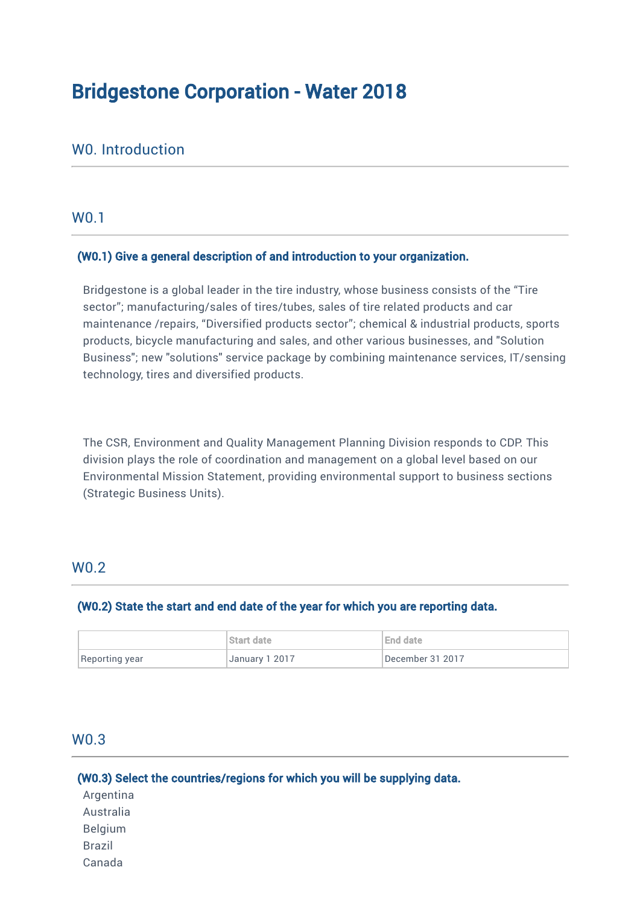# Bridgestone Corporation - Water 2018

# W0. Introduction

### W0.1

### (W0.1) Give a general description of and introduction to your organization.

Bridgestone is a global leader in the tire industry, whose business consists of the "Tire sector"; manufacturing/sales of tires/tubes, sales of tire related products and car maintenance /repairs, "Diversified products sector"; chemical & industrial products, sports products, bicycle manufacturing and sales, and other various businesses, and "Solution Business"; new "solutions" service package by combining maintenance services, IT/sensing technology, tires and diversified products.

The CSR, Environment and Quality Management Planning Division responds to CDP. This division plays the role of coordination and management on a global level based on our Environmental Mission Statement, providing environmental support to business sections (Strategic Business Units).

### W0.2

### (W0.2) State the start and end date of the year for which you are reporting data.

|                | I Start date   | End date         |
|----------------|----------------|------------------|
| Reporting year | January 1 2017 | December 31 2017 |

### W0.3

(W0.3) Select the countries/regions for which you will be supplying data. Argentina Australia Belgium Brazil Canada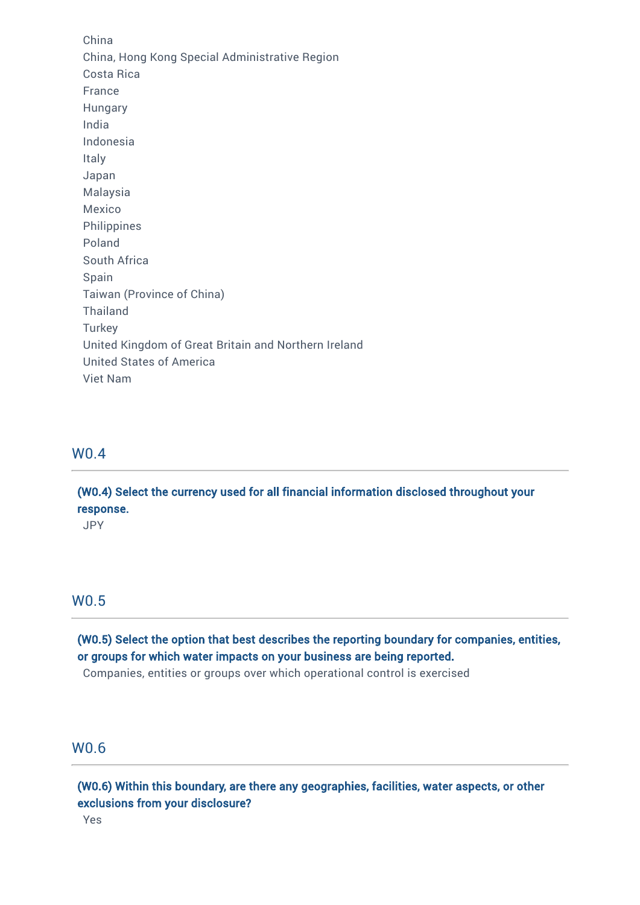China China, Hong Kong Special Administrative Region Costa Rica France Hungary India Indonesia Italy Japan Malaysia Mexico Philippines Poland South Africa Spain Taiwan (Province of China) Thailand **Turkey** United Kingdom of Great Britain and Northern Ireland United States of America Viet Nam

### W0.4

(W0.4) Select the currency used for all financial information disclosed throughout your response.

JPY

### W0.5

(W0.5) Select the option that best describes the reporting boundary for companies, entities, or groups for which water impacts on your business are being reported.

Companies, entities or groups over which operational control is exercised

### W0.6

(W0.6) Within this boundary, are there any geographies, facilities, water aspects, or other exclusions from your disclosure?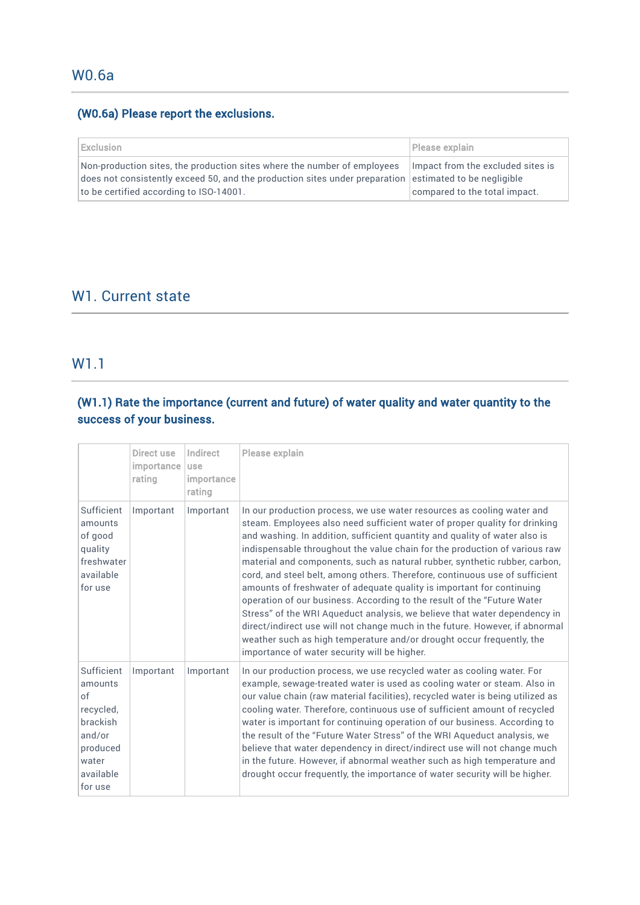### (W0.6a) Please report the exclusions.

| Exclusion                                                                                                                                                                          | Please explain                    |
|------------------------------------------------------------------------------------------------------------------------------------------------------------------------------------|-----------------------------------|
| Non-production sites, the production sites where the number of employees<br>does not consistently exceed 50, and the production sites under preparation estimated to be negligible | Impact from the excluded sites is |
| to be certified according to ISO-14001.                                                                                                                                            | compared to the total impact.     |

# W1. Current state

# W1.1

# (W1.1) Rate the importance (current and future) of water quality and water quantity to the success of your business.

|                                                                                                             | Direct use<br>importance<br>rating | Indirect<br>luse<br>importance<br>rating | Please explain                                                                                                                                                                                                                                                                                                                                                                                                                                                                                                                                                                                                                                                                                                                                                                                                                                                                                                          |
|-------------------------------------------------------------------------------------------------------------|------------------------------------|------------------------------------------|-------------------------------------------------------------------------------------------------------------------------------------------------------------------------------------------------------------------------------------------------------------------------------------------------------------------------------------------------------------------------------------------------------------------------------------------------------------------------------------------------------------------------------------------------------------------------------------------------------------------------------------------------------------------------------------------------------------------------------------------------------------------------------------------------------------------------------------------------------------------------------------------------------------------------|
| Sufficient<br>amounts<br>of good<br>quality<br>freshwater<br>available<br>for use                           | Important                          | Important                                | In our production process, we use water resources as cooling water and<br>steam. Employees also need sufficient water of proper quality for drinking<br>and washing. In addition, sufficient quantity and quality of water also is<br>indispensable throughout the value chain for the production of various raw<br>material and components, such as natural rubber, synthetic rubber, carbon,<br>cord, and steel belt, among others. Therefore, continuous use of sufficient<br>amounts of freshwater of adequate quality is important for continuing<br>operation of our business. According to the result of the "Future Water<br>Stress" of the WRI Aqueduct analysis, we believe that water dependency in<br>direct/indirect use will not change much in the future. However, if abnormal<br>weather such as high temperature and/or drought occur frequently, the<br>importance of water security will be higher. |
| Sufficient<br>amounts<br>of<br>recycled,<br>brackish<br>and/or<br>produced<br>water<br>available<br>for use | Important                          | Important                                | In our production process, we use recycled water as cooling water. For<br>example, sewage-treated water is used as cooling water or steam. Also in<br>our value chain (raw material facilities), recycled water is being utilized as<br>cooling water. Therefore, continuous use of sufficient amount of recycled<br>water is important for continuing operation of our business. According to<br>the result of the "Future Water Stress" of the WRI Aqueduct analysis, we<br>believe that water dependency in direct/indirect use will not change much<br>in the future. However, if abnormal weather such as high temperature and<br>drought occur frequently, the importance of water security will be higher.                                                                                                                                                                                                       |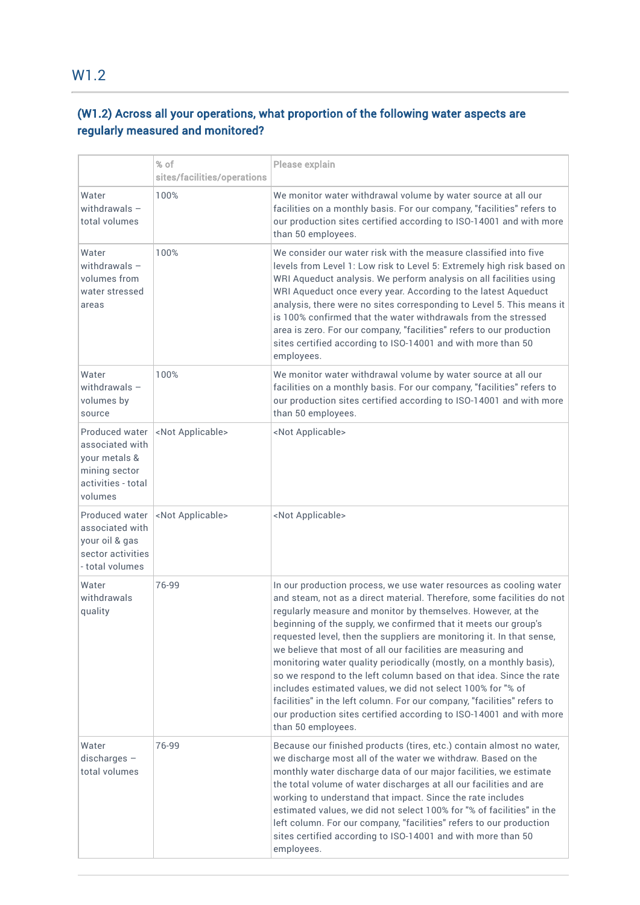# (W1.2) Across all your operations, what proportion of the following water aspects are regularly measured and monitored?

|                                                                                                      | % of                                | Please explain                                                                                                                                                                                                                                                                                                                                                                                                                                                                                                                                                                                                                                                                                                                                                                                                |
|------------------------------------------------------------------------------------------------------|-------------------------------------|---------------------------------------------------------------------------------------------------------------------------------------------------------------------------------------------------------------------------------------------------------------------------------------------------------------------------------------------------------------------------------------------------------------------------------------------------------------------------------------------------------------------------------------------------------------------------------------------------------------------------------------------------------------------------------------------------------------------------------------------------------------------------------------------------------------|
| Water<br>withdrawals $-$<br>total volumes                                                            | sites/facilities/operations<br>100% | We monitor water withdrawal volume by water source at all our<br>facilities on a monthly basis. For our company, "facilities" refers to<br>our production sites certified according to ISO-14001 and with more<br>than 50 employees.                                                                                                                                                                                                                                                                                                                                                                                                                                                                                                                                                                          |
| Water<br>withdrawals $-$<br>volumes from<br>water stressed<br>areas                                  | 100%                                | We consider our water risk with the measure classified into five<br>levels from Level 1: Low risk to Level 5: Extremely high risk based on<br>WRI Aqueduct analysis. We perform analysis on all facilities using<br>WRI Aqueduct once every year. According to the latest Aqueduct<br>analysis, there were no sites corresponding to Level 5. This means it<br>is 100% confirmed that the water withdrawals from the stressed<br>area is zero. For our company, "facilities" refers to our production<br>sites certified according to ISO-14001 and with more than 50<br>employees.                                                                                                                                                                                                                           |
| Water<br>withdrawals $-$<br>volumes by<br>source                                                     | 100%                                | We monitor water withdrawal volume by water source at all our<br>facilities on a monthly basis. For our company, "facilities" refers to<br>our production sites certified according to ISO-14001 and with more<br>than 50 employees.                                                                                                                                                                                                                                                                                                                                                                                                                                                                                                                                                                          |
| Produced water<br>associated with<br>your metals &<br>mining sector<br>activities - total<br>volumes | <not applicable=""></not>           | <not applicable=""></not>                                                                                                                                                                                                                                                                                                                                                                                                                                                                                                                                                                                                                                                                                                                                                                                     |
| Produced water<br>associated with<br>your oil & gas<br>sector activities<br>- total volumes          | <not applicable=""></not>           | <not applicable=""></not>                                                                                                                                                                                                                                                                                                                                                                                                                                                                                                                                                                                                                                                                                                                                                                                     |
| Water<br>withdrawals<br>quality                                                                      | 76-99                               | In our production process, we use water resources as cooling water<br>and steam, not as a direct material. Therefore, some facilities do not<br>regularly measure and monitor by themselves. However, at the<br>beginning of the supply, we confirmed that it meets our group's<br>requested level, then the suppliers are monitoring it. In that sense,<br>we believe that most of all our facilities are measuring and<br>monitoring water quality periodically (mostly, on a monthly basis),<br>so we respond to the left column based on that idea. Since the rate<br>includes estimated values, we did not select 100% for "% of<br>facilities" in the left column. For our company, "facilities" refers to<br>our production sites certified according to ISO-14001 and with more<br>than 50 employees. |
| Water<br>$discharges -$<br>total volumes                                                             | 76-99                               | Because our finished products (tires, etc.) contain almost no water,<br>we discharge most all of the water we withdraw. Based on the<br>monthly water discharge data of our major facilities, we estimate<br>the total volume of water discharges at all our facilities and are<br>working to understand that impact. Since the rate includes<br>estimated values, we did not select 100% for "% of facilities" in the<br>left column. For our company, "facilities" refers to our production<br>sites certified according to ISO-14001 and with more than 50<br>employees.                                                                                                                                                                                                                                   |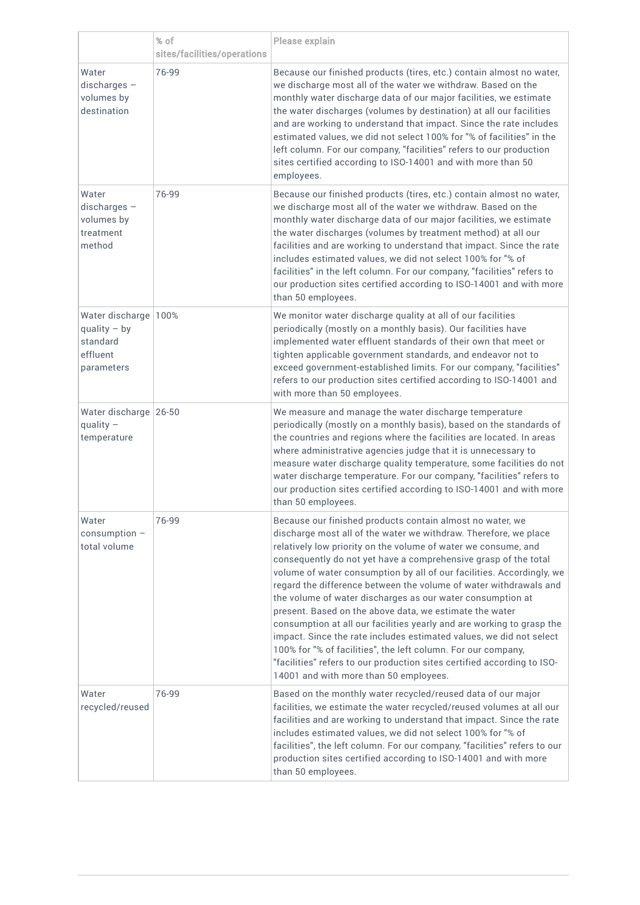|                                                                              | % of<br>sites/facilities/operations | Please explain                                                                                                                                                                                                                                                                                                                                                                                                                                                                                                                                                                                                                                                                                                                                                                                                                                                                  |
|------------------------------------------------------------------------------|-------------------------------------|---------------------------------------------------------------------------------------------------------------------------------------------------------------------------------------------------------------------------------------------------------------------------------------------------------------------------------------------------------------------------------------------------------------------------------------------------------------------------------------------------------------------------------------------------------------------------------------------------------------------------------------------------------------------------------------------------------------------------------------------------------------------------------------------------------------------------------------------------------------------------------|
| Water<br>discharges -<br>volumes by<br>destination                           | 76-99                               | Because our finished products (tires, etc.) contain almost no water,<br>we discharge most all of the water we withdraw. Based on the<br>monthly water discharge data of our major facilities, we estimate<br>the water discharges (volumes by destination) at all our facilities<br>and are working to understand that impact. Since the rate includes<br>estimated values, we did not select 100% for "% of facilities" in the<br>left column. For our company, "facilities" refers to our production<br>sites certified according to ISO-14001 and with more than 50<br>employees.                                                                                                                                                                                                                                                                                            |
| Water<br>$discharges -$<br>volumes by<br>treatment<br>method                 | 76-99                               | Because our finished products (tires, etc.) contain almost no water,<br>we discharge most all of the water we withdraw. Based on the<br>monthly water discharge data of our major facilities, we estimate<br>the water discharges (volumes by treatment method) at all our<br>facilities and are working to understand that impact. Since the rate<br>includes estimated values, we did not select 100% for "% of<br>facilities" in the left column. For our company, "facilities" refers to<br>our production sites certified according to ISO-14001 and with more<br>than 50 employees.                                                                                                                                                                                                                                                                                       |
| Water discharge 100%<br>$quality - by$<br>standard<br>effluent<br>parameters |                                     | We monitor water discharge quality at all of our facilities<br>periodically (mostly on a monthly basis). Our facilities have<br>implemented water effluent standards of their own that meet or<br>tighten applicable government standards, and endeavor not to<br>exceed government-established limits. For our company, "facilities"<br>refers to our production sites certified according to ISO-14001 and<br>with more than 50 employees.                                                                                                                                                                                                                                                                                                                                                                                                                                    |
| Water discharge 26-50<br>quality $-$<br>temperature                          |                                     | We measure and manage the water discharge temperature<br>periodically (mostly on a monthly basis), based on the standards of<br>the countries and regions where the facilities are located. In areas<br>where administrative agencies judge that it is unnecessary to<br>measure water discharge quality temperature, some facilities do not<br>water discharge temperature. For our company, "facilities" refers to<br>our production sites certified according to ISO-14001 and with more<br>than 50 employees.                                                                                                                                                                                                                                                                                                                                                               |
| Water<br>$consumption -$<br>total volume                                     | 76-99                               | Because our finished products contain almost no water, we<br>discharge most all of the water we withdraw. Therefore, we place<br>relatively low priority on the volume of water we consume, and<br>consequently do not yet have a comprehensive grasp of the total<br>volume of water consumption by all of our facilities. Accordingly, we<br>regard the difference between the volume of water withdrawals and<br>the volume of water discharges as our water consumption at<br>present. Based on the above data, we estimate the water<br>consumption at all our facilities yearly and are working to grasp the<br>impact. Since the rate includes estimated values, we did not select<br>100% for "% of facilities", the left column. For our company,<br>"facilities" refers to our production sites certified according to ISO-<br>14001 and with more than 50 employees. |
| Water<br>recycled/reused                                                     | 76-99                               | Based on the monthly water recycled/reused data of our major<br>facilities, we estimate the water recycled/reused volumes at all our<br>facilities and are working to understand that impact. Since the rate<br>includes estimated values, we did not select 100% for "% of<br>facilities", the left column. For our company, "facilities" refers to our<br>production sites certified according to ISO-14001 and with more<br>than 50 employees.                                                                                                                                                                                                                                                                                                                                                                                                                               |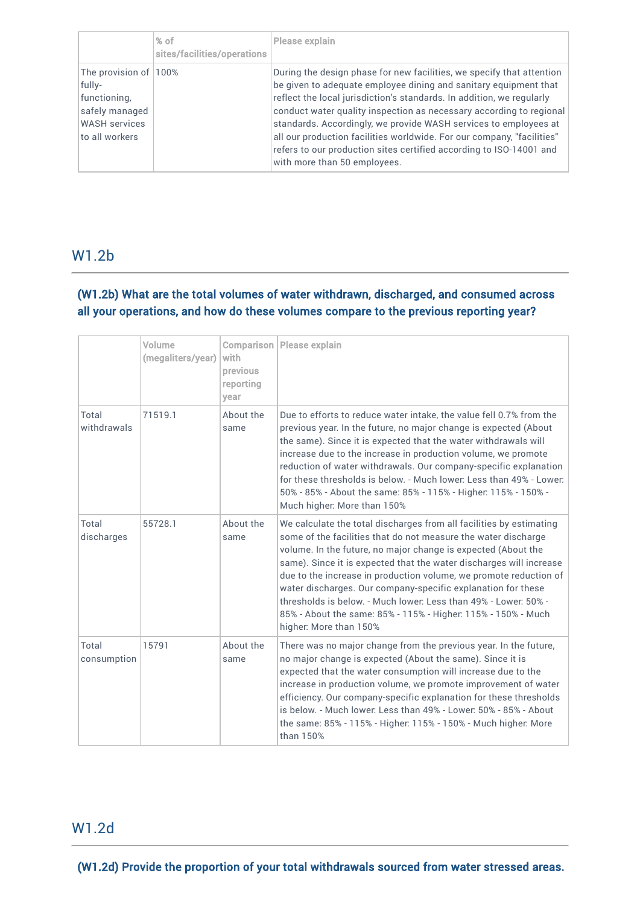|                                                                                                             | $%$ of<br>sites/facilities/operations | Please explain                                                                                                                                                                                                                                                                                                                                                                                                                                                                                                                                 |
|-------------------------------------------------------------------------------------------------------------|---------------------------------------|------------------------------------------------------------------------------------------------------------------------------------------------------------------------------------------------------------------------------------------------------------------------------------------------------------------------------------------------------------------------------------------------------------------------------------------------------------------------------------------------------------------------------------------------|
| The provision of 100%<br>fully-<br>functioning,<br>safely managed<br><b>WASH</b> services<br>to all workers |                                       | During the design phase for new facilities, we specify that attention<br>be given to adequate employee dining and sanitary equipment that<br>reflect the local jurisdiction's standards. In addition, we regularly<br>conduct water quality inspection as necessary according to regional<br>standards. Accordingly, we provide WASH services to employees at<br>all our production facilities worldwide. For our company, "facilities"<br>refers to our production sites certified according to ISO-14001 and<br>with more than 50 employees. |

### W1.2b

# (W1.2b) What are the total volumes of water withdrawn, discharged, and consumed across all your operations, and how do these volumes compare to the previous reporting year?

|                      | Volume<br>(megaliters/year) | with<br>previous<br>reporting<br>year | Comparison   Please explain                                                                                                                                                                                                                                                                                                                                                                                                                                                                                                                                                      |
|----------------------|-----------------------------|---------------------------------------|----------------------------------------------------------------------------------------------------------------------------------------------------------------------------------------------------------------------------------------------------------------------------------------------------------------------------------------------------------------------------------------------------------------------------------------------------------------------------------------------------------------------------------------------------------------------------------|
| Total<br>withdrawals | 71519.1                     | About the<br>same                     | Due to efforts to reduce water intake, the value fell 0.7% from the<br>previous year. In the future, no major change is expected (About<br>the same). Since it is expected that the water withdrawals will<br>increase due to the increase in production volume, we promote<br>reduction of water withdrawals. Our company-specific explanation<br>for these thresholds is below. - Much lower: Less than 49% - Lower:<br>50% - 85% - About the same: 85% - 115% - Higher: 115% - 150% -<br>Much higher: More than 150%                                                          |
| Total<br>discharges  | 55728.1                     | About the<br>same                     | We calculate the total discharges from all facilities by estimating<br>some of the facilities that do not measure the water discharge<br>volume. In the future, no major change is expected (About the<br>same). Since it is expected that the water discharges will increase<br>due to the increase in production volume, we promote reduction of<br>water discharges. Our company-specific explanation for these<br>thresholds is below. - Much lower: Less than 49% - Lower: 50% -<br>85% - About the same: 85% - 115% - Higher: 115% - 150% - Much<br>higher: More than 150% |
| Total<br>consumption | 15791                       | About the<br>same                     | There was no major change from the previous year. In the future,<br>no major change is expected (About the same). Since it is<br>expected that the water consumption will increase due to the<br>increase in production volume, we promote improvement of water<br>efficiency. Our company-specific explanation for these thresholds<br>is below. - Much lower: Less than 49% - Lower: 50% - 85% - About<br>the same: 85% - 115% - Higher: 115% - 150% - Much higher: More<br>than 150%                                                                                          |

# W1.2d

(W1.2d) Provide the proportion of your total withdrawals sourced from water stressed areas.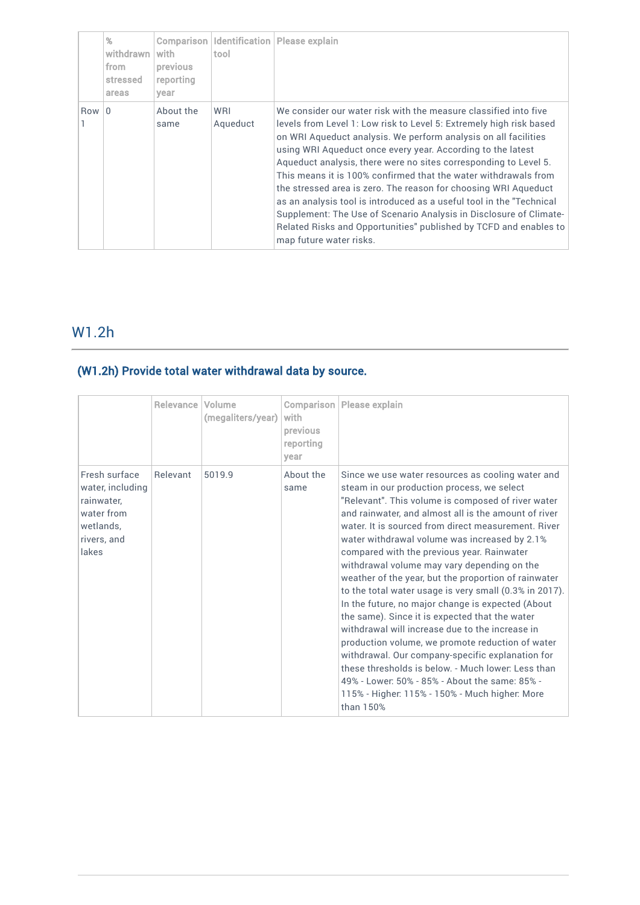|        | %<br>withdrawn I with<br>from<br>stressed<br>areas | previous<br>reporting<br>year | tool            | <b>Comparison   Identification   Please explain</b>                                                                                                                                                                                                                                                                                                                                                                                                                                                                                                                                                                                                                                                                               |
|--------|----------------------------------------------------|-------------------------------|-----------------|-----------------------------------------------------------------------------------------------------------------------------------------------------------------------------------------------------------------------------------------------------------------------------------------------------------------------------------------------------------------------------------------------------------------------------------------------------------------------------------------------------------------------------------------------------------------------------------------------------------------------------------------------------------------------------------------------------------------------------------|
| Row 10 |                                                    | About the<br>same             | WRI<br>Aqueduct | We consider our water risk with the measure classified into five<br>levels from Level 1: Low risk to Level 5: Extremely high risk based<br>on WRI Aqueduct analysis. We perform analysis on all facilities<br>using WRI Aqueduct once every year. According to the latest<br>Aqueduct analysis, there were no sites corresponding to Level 5.<br>This means it is 100% confirmed that the water withdrawals from<br>the stressed area is zero. The reason for choosing WRI Aqueduct<br>as an analysis tool is introduced as a useful tool in the "Technical<br>Supplement: The Use of Scenario Analysis in Disclosure of Climate-<br>Related Risks and Opportunities" published by TCFD and enables to<br>map future water risks. |

# W1.2h

# (W1.2h) Provide total water withdrawal data by source.

|                                                                                                    | Relevance I | Volume<br>(megaliters/year) | with<br>previous<br>reporting<br>year | <b>Comparison   Please explain</b>                                                                                                                                                                                                                                                                                                                                                                                                                                                                                                                                                                                                                                                                                                                                                                                                                                                                                                                                            |
|----------------------------------------------------------------------------------------------------|-------------|-----------------------------|---------------------------------------|-------------------------------------------------------------------------------------------------------------------------------------------------------------------------------------------------------------------------------------------------------------------------------------------------------------------------------------------------------------------------------------------------------------------------------------------------------------------------------------------------------------------------------------------------------------------------------------------------------------------------------------------------------------------------------------------------------------------------------------------------------------------------------------------------------------------------------------------------------------------------------------------------------------------------------------------------------------------------------|
| Fresh surface<br>water, including<br>rainwater.<br>water from<br>wetlands.<br>rivers, and<br>lakes | Relevant    | 5019.9                      | About the<br>same                     | Since we use water resources as cooling water and<br>steam in our production process, we select<br>"Relevant". This volume is composed of river water<br>and rainwater, and almost all is the amount of river<br>water. It is sourced from direct measurement. River<br>water withdrawal volume was increased by 2.1%<br>compared with the previous year. Rainwater<br>withdrawal volume may vary depending on the<br>weather of the year, but the proportion of rainwater<br>to the total water usage is very small (0.3% in 2017).<br>In the future, no major change is expected (About<br>the same). Since it is expected that the water<br>withdrawal will increase due to the increase in<br>production volume, we promote reduction of water<br>withdrawal. Our company-specific explanation for<br>these thresholds is below. - Much lower: Less than<br>49% - Lower: 50% - 85% - About the same: 85% -<br>115% - Higher: 115% - 150% - Much higher: More<br>than 150% |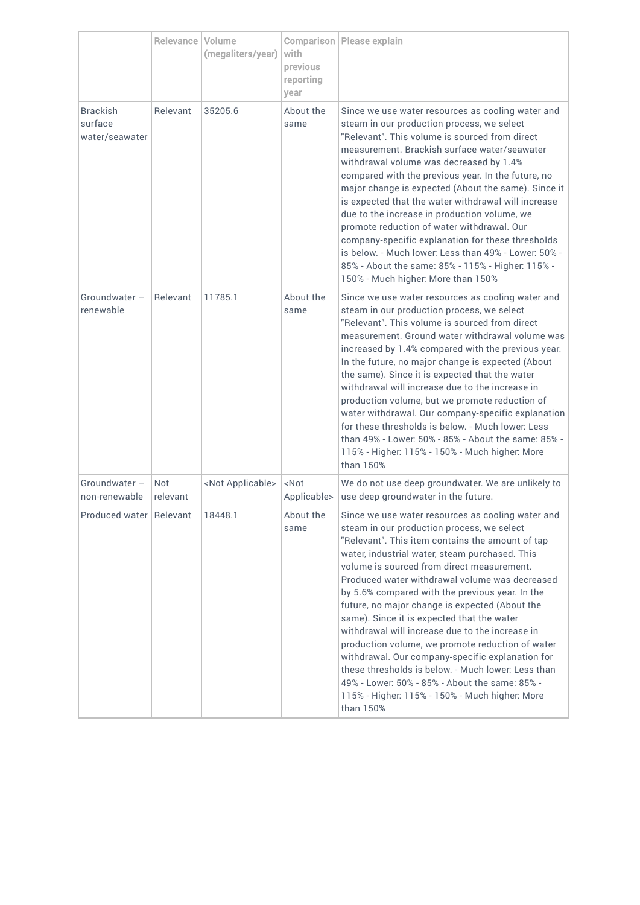|                                              | <b>Relevance   Volume</b> | (megaliters/year)         | with<br>previous<br>reporting<br>year | Comparison   Please explain                                                                                                                                                                                                                                                                                                                                                                                                                                                                                                                                                                                                                                                                                                                                                                |
|----------------------------------------------|---------------------------|---------------------------|---------------------------------------|--------------------------------------------------------------------------------------------------------------------------------------------------------------------------------------------------------------------------------------------------------------------------------------------------------------------------------------------------------------------------------------------------------------------------------------------------------------------------------------------------------------------------------------------------------------------------------------------------------------------------------------------------------------------------------------------------------------------------------------------------------------------------------------------|
| <b>Brackish</b><br>surface<br>water/seawater | Relevant                  | 35205.6                   | About the<br>same                     | Since we use water resources as cooling water and<br>steam in our production process, we select<br>"Relevant". This volume is sourced from direct<br>measurement. Brackish surface water/seawater<br>withdrawal volume was decreased by 1.4%<br>compared with the previous year. In the future, no<br>major change is expected (About the same). Since it<br>is expected that the water withdrawal will increase<br>due to the increase in production volume, we<br>promote reduction of water withdrawal. Our<br>company-specific explanation for these thresholds<br>is below. - Much lower: Less than 49% - Lower: 50% -<br>85% - About the same: 85% - 115% - Higher: 115% -<br>150% - Much higher: More than 150%                                                                     |
| Groundwater -<br>renewable                   | Relevant                  | 11785.1                   | About the<br>same                     | Since we use water resources as cooling water and<br>steam in our production process, we select<br>"Relevant". This volume is sourced from direct<br>measurement. Ground water withdrawal volume was<br>increased by 1.4% compared with the previous year.<br>In the future, no major change is expected (About<br>the same). Since it is expected that the water<br>withdrawal will increase due to the increase in<br>production volume, but we promote reduction of<br>water withdrawal. Our company-specific explanation<br>for these thresholds is below. - Much lower: Less<br>than 49% - Lower: 50% - 85% - About the same: 85% -<br>115% - Higher: 115% - 150% - Much higher: More<br>than 150%                                                                                    |
| Groundwater -<br>non-renewable               | Not<br>relevant           | <not applicable=""></not> | <not<br>Applicable&gt;</not<br>       | We do not use deep groundwater. We are unlikely to<br>use deep groundwater in the future.                                                                                                                                                                                                                                                                                                                                                                                                                                                                                                                                                                                                                                                                                                  |
| Produced water   Relevant                    |                           | 18448.1                   | About the<br>same                     | Since we use water resources as cooling water and<br>steam in our production process, we select<br>"Relevant". This item contains the amount of tap<br>water, industrial water, steam purchased. This<br>volume is sourced from direct measurement.<br>Produced water withdrawal volume was decreased<br>by 5.6% compared with the previous year. In the<br>future, no major change is expected (About the<br>same). Since it is expected that the water<br>withdrawal will increase due to the increase in<br>production volume, we promote reduction of water<br>withdrawal. Our company-specific explanation for<br>these thresholds is below. - Much lower: Less than<br>49% - Lower: 50% - 85% - About the same: 85% -<br>115% - Higher: 115% - 150% - Much higher: More<br>than 150% |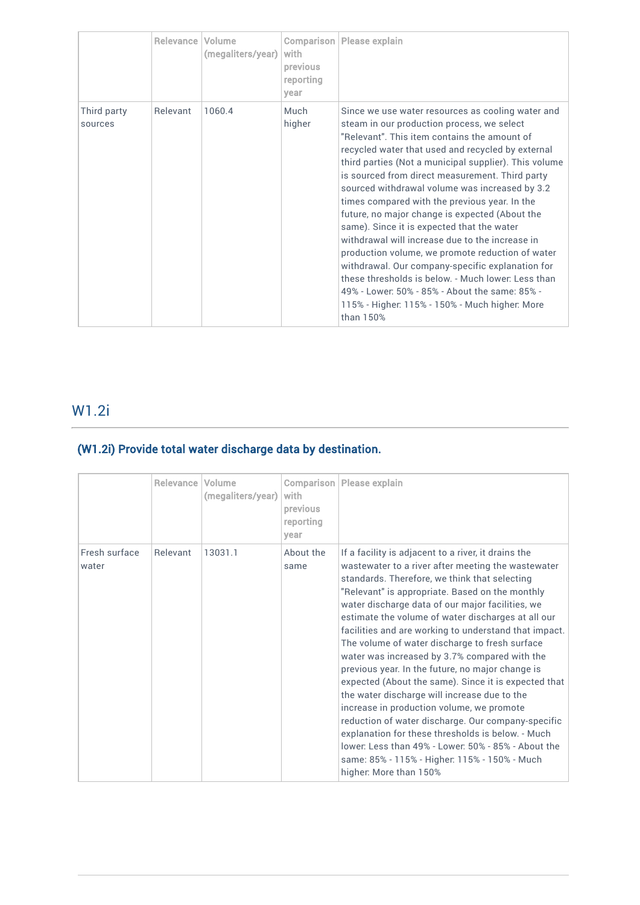|                        | Relevance I | Volume<br>(megaliters/year) | with<br>previous<br>reporting<br>year | <b>Comparison   Please explain</b>                                                                                                                                                                                                                                                                                                                                                                                                                                                                                                                                                                                                                                                                                                                                                                                                                    |
|------------------------|-------------|-----------------------------|---------------------------------------|-------------------------------------------------------------------------------------------------------------------------------------------------------------------------------------------------------------------------------------------------------------------------------------------------------------------------------------------------------------------------------------------------------------------------------------------------------------------------------------------------------------------------------------------------------------------------------------------------------------------------------------------------------------------------------------------------------------------------------------------------------------------------------------------------------------------------------------------------------|
| Third party<br>sources | Relevant    | 1060.4                      | Much<br>higher                        | Since we use water resources as cooling water and<br>steam in our production process, we select<br>"Relevant". This item contains the amount of<br>recycled water that used and recycled by external<br>third parties (Not a municipal supplier). This volume<br>is sourced from direct measurement. Third party<br>sourced withdrawal volume was increased by 3.2<br>times compared with the previous year. In the<br>future, no major change is expected (About the<br>same). Since it is expected that the water<br>withdrawal will increase due to the increase in<br>production volume, we promote reduction of water<br>withdrawal. Our company-specific explanation for<br>these thresholds is below. - Much lower: Less than<br>49% - Lower: 50% - 85% - About the same: 85% -<br>115% - Higher: 115% - 150% - Much higher: More<br>than 150% |

# W1.2i

# (W1.2i) Provide total water discharge data by destination.

|                        | Relevance | Volume<br>(megaliters/year) | with<br>previous<br>reporting<br>year | <b>Comparison   Please explain</b>                                                                                                                                                                                                                                                                                                                                                                                                                                                                                                                                                                                                                                                                                                                                                                                                                                                                                                        |
|------------------------|-----------|-----------------------------|---------------------------------------|-------------------------------------------------------------------------------------------------------------------------------------------------------------------------------------------------------------------------------------------------------------------------------------------------------------------------------------------------------------------------------------------------------------------------------------------------------------------------------------------------------------------------------------------------------------------------------------------------------------------------------------------------------------------------------------------------------------------------------------------------------------------------------------------------------------------------------------------------------------------------------------------------------------------------------------------|
| Fresh surface<br>water | Relevant  | 13031.1                     | About the<br>same                     | If a facility is adjacent to a river, it drains the<br>wastewater to a river after meeting the wastewater<br>standards. Therefore, we think that selecting<br>"Relevant" is appropriate. Based on the monthly<br>water discharge data of our major facilities, we<br>estimate the volume of water discharges at all our<br>facilities and are working to understand that impact.<br>The volume of water discharge to fresh surface<br>water was increased by 3.7% compared with the<br>previous year. In the future, no major change is<br>expected (About the same). Since it is expected that<br>the water discharge will increase due to the<br>increase in production volume, we promote<br>reduction of water discharge. Our company-specific<br>explanation for these thresholds is below. - Much<br>lower: Less than 49% - Lower: 50% - 85% - About the<br>same: 85% - 115% - Higher: 115% - 150% - Much<br>higher: More than 150% |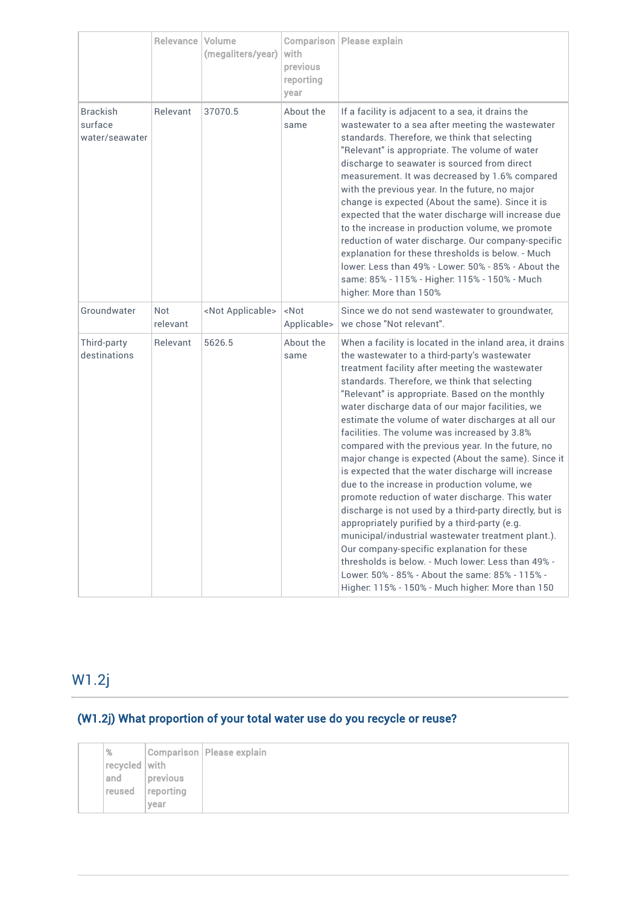|                                              | <b>Relevance   Volume</b> | (megaliters/year)         | with<br>previous<br>reporting<br>year | Comparison   Please explain                                                                                                                                                                                                                                                                                                                                                                                                                                                                                                                                                                                                                                                                                                                                                                                                                                                                                                                                                                                                                                                   |
|----------------------------------------------|---------------------------|---------------------------|---------------------------------------|-------------------------------------------------------------------------------------------------------------------------------------------------------------------------------------------------------------------------------------------------------------------------------------------------------------------------------------------------------------------------------------------------------------------------------------------------------------------------------------------------------------------------------------------------------------------------------------------------------------------------------------------------------------------------------------------------------------------------------------------------------------------------------------------------------------------------------------------------------------------------------------------------------------------------------------------------------------------------------------------------------------------------------------------------------------------------------|
| <b>Brackish</b><br>surface<br>water/seawater | Relevant                  | 37070.5                   | About the<br>same                     | If a facility is adjacent to a sea, it drains the<br>wastewater to a sea after meeting the wastewater<br>standards. Therefore, we think that selecting<br>"Relevant" is appropriate. The volume of water<br>discharge to seawater is sourced from direct<br>measurement. It was decreased by 1.6% compared<br>with the previous year. In the future, no major<br>change is expected (About the same). Since it is<br>expected that the water discharge will increase due<br>to the increase in production volume, we promote<br>reduction of water discharge. Our company-specific<br>explanation for these thresholds is below. - Much<br>lower: Less than 49% - Lower: 50% - 85% - About the<br>same: 85% - 115% - Higher: 115% - 150% - Much<br>higher: More than 150%                                                                                                                                                                                                                                                                                                     |
| Groundwater                                  | Not<br>relevant           | <not applicable=""></not> | <not<br>Applicable&gt;</not<br>       | Since we do not send wastewater to groundwater,<br>we chose "Not relevant".                                                                                                                                                                                                                                                                                                                                                                                                                                                                                                                                                                                                                                                                                                                                                                                                                                                                                                                                                                                                   |
| Third-party<br>destinations                  | Relevant                  | 5626.5                    | About the<br>same                     | When a facility is located in the inland area, it drains<br>the wastewater to a third-party's wastewater<br>treatment facility after meeting the wastewater<br>standards. Therefore, we think that selecting<br>"Relevant" is appropriate. Based on the monthly<br>water discharge data of our major facilities, we<br>estimate the volume of water discharges at all our<br>facilities. The volume was increased by 3.8%<br>compared with the previous year. In the future, no<br>major change is expected (About the same). Since it<br>is expected that the water discharge will increase<br>due to the increase in production volume, we<br>promote reduction of water discharge. This water<br>discharge is not used by a third-party directly, but is<br>appropriately purified by a third-party (e.g.<br>municipal/industrial wastewater treatment plant.).<br>Our company-specific explanation for these<br>thresholds is below. - Much lower: Less than 49% -<br>Lower: 50% - 85% - About the same: 85% - 115% -<br>Higher: 115% - 150% - Much higher: More than 150 |

# W1.2j

# (W1.2j) What proportion of your total water use do you recycle or reuse?

| %             |           | Comparison   Please explain |
|---------------|-----------|-----------------------------|
| recycled with |           |                             |
| and           | previous  |                             |
| reused        | reporting |                             |
|               | year      |                             |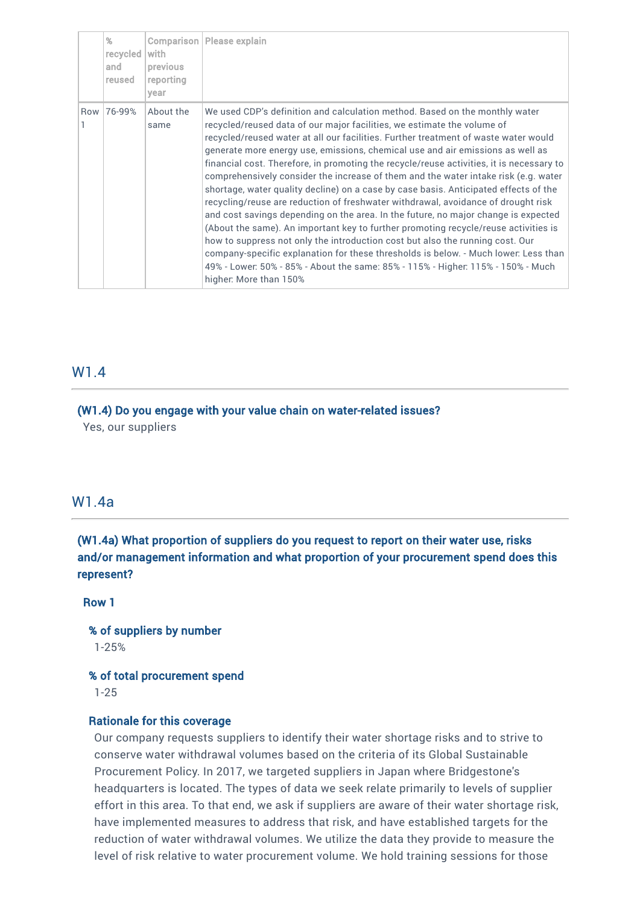| %<br>recycled<br>and<br>reused | with<br>previous<br>reporting<br>year | <b>Comparison   Please explain</b>                                                                                                                                                                                                                                                                                                                                                                                                                                                                                                                                                                                                                                                                                                                                                                                                                                                                                                                                                                                                                                                                                                                                 |
|--------------------------------|---------------------------------------|--------------------------------------------------------------------------------------------------------------------------------------------------------------------------------------------------------------------------------------------------------------------------------------------------------------------------------------------------------------------------------------------------------------------------------------------------------------------------------------------------------------------------------------------------------------------------------------------------------------------------------------------------------------------------------------------------------------------------------------------------------------------------------------------------------------------------------------------------------------------------------------------------------------------------------------------------------------------------------------------------------------------------------------------------------------------------------------------------------------------------------------------------------------------|
| Row 76-99%                     | About the<br>same                     | We used CDP's definition and calculation method. Based on the monthly water<br>recycled/reused data of our major facilities, we estimate the volume of<br>recycled/reused water at all our facilities. Further treatment of waste water would<br>generate more energy use, emissions, chemical use and air emissions as well as<br>financial cost. Therefore, in promoting the recycle/reuse activities, it is necessary to<br>comprehensively consider the increase of them and the water intake risk (e.g. water<br>shortage, water quality decline) on a case by case basis. Anticipated effects of the<br>recycling/reuse are reduction of freshwater withdrawal, avoidance of drought risk<br>and cost savings depending on the area. In the future, no major change is expected<br>(About the same). An important key to further promoting recycle/reuse activities is<br>how to suppress not only the introduction cost but also the running cost. Our<br>company-specific explanation for these thresholds is below. - Much lower: Less than<br>49% - Lower: 50% - 85% - About the same: 85% - 115% - Higher: 115% - 150% - Much<br>higher: More than 150% |

### W<sub>1</sub> 4

(W1.4) Do you engage with your value chain on water-related issues?

Yes, our suppliers

### W1.4a

(W1.4a) What proportion of suppliers do you request to report on their water use, risks and/or management information and what proportion of your procurement spend does this represent?

Row 1

% of suppliers by number 1-25%

### % of total procurement spend

1-25

### Rationale for this coverage

Our company requests suppliers to identify their water shortage risks and to strive to conserve water withdrawal volumes based on the criteria of its Global Sustainable Procurement Policy. In 2017, we targeted suppliers in Japan where Bridgestone's headquarters is located. The types of data we seek relate primarily to levels of supplier effort in this area. To that end, we ask if suppliers are aware of their water shortage risk, have implemented measures to address that risk, and have established targets for the reduction of water withdrawal volumes. We utilize the data they provide to measure the level of risk relative to water procurement volume. We hold training sessions for those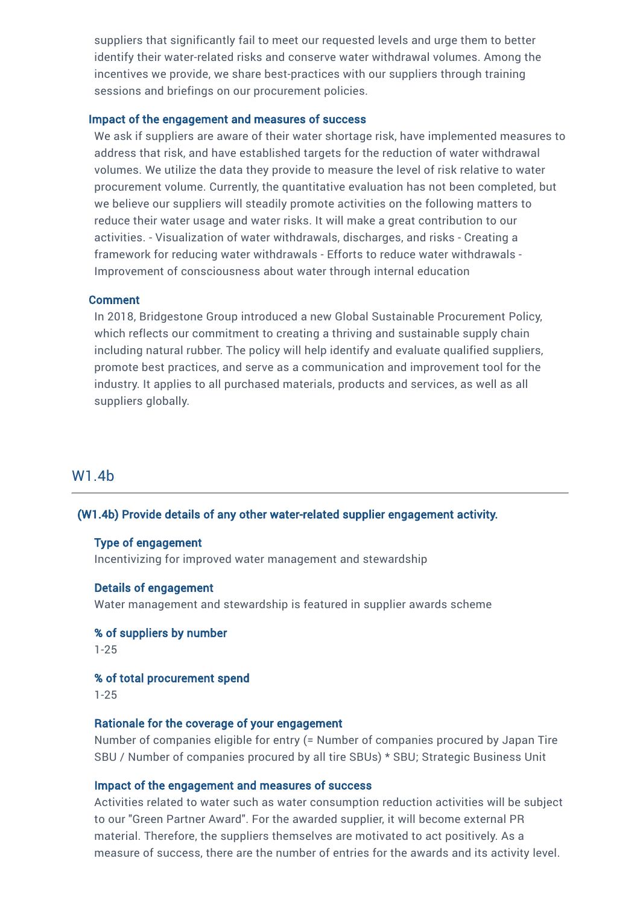suppliers that significantly fail to meet our requested levels and urge them to better identify their water-related risks and conserve water withdrawal volumes. Among the incentives we provide, we share best-practices with our suppliers through training sessions and briefings on our procurement policies.

#### Impact of the engagement and measures of success

We ask if suppliers are aware of their water shortage risk, have implemented measures to address that risk, and have established targets for the reduction of water withdrawal volumes. We utilize the data they provide to measure the level of risk relative to water procurement volume. Currently, the quantitative evaluation has not been completed, but we believe our suppliers will steadily promote activities on the following matters to reduce their water usage and water risks. It will make a great contribution to our activities. - Visualization of water withdrawals, discharges, and risks - Creating a framework for reducing water withdrawals - Efforts to reduce water withdrawals - Improvement of consciousness about water through internal education

#### Comment

In 2018, Bridgestone Group introduced a new Global Sustainable Procurement Policy, which reflects our commitment to creating a thriving and sustainable supply chain including natural rubber. The policy will help identify and evaluate qualified suppliers, promote best practices, and serve as a communication and improvement tool for the industry. It applies to all purchased materials, products and services, as well as all suppliers globally.

### W1.4b

#### (W1.4b) Provide details of any other water-related supplier engagement activity.

#### Type of engagement

Incentivizing for improved water management and stewardship

#### Details of engagement

Water management and stewardship is featured in supplier awards scheme

### % of suppliers by number

1-25

### % of total procurement spend

1-25

### Rationale for the coverage of your engagement

Number of companies eligible for entry (= Number of companies procured by Japan Tire SBU / Number of companies procured by all tire SBUs) \* SBU; Strategic Business Unit

### Impact of the engagement and measures of success

Activities related to water such as water consumption reduction activities will be subject to our "Green Partner Award". For the awarded supplier, it will become external PR material. Therefore, the suppliers themselves are motivated to act positively. As a measure of success, there are the number of entries for the awards and its activity level.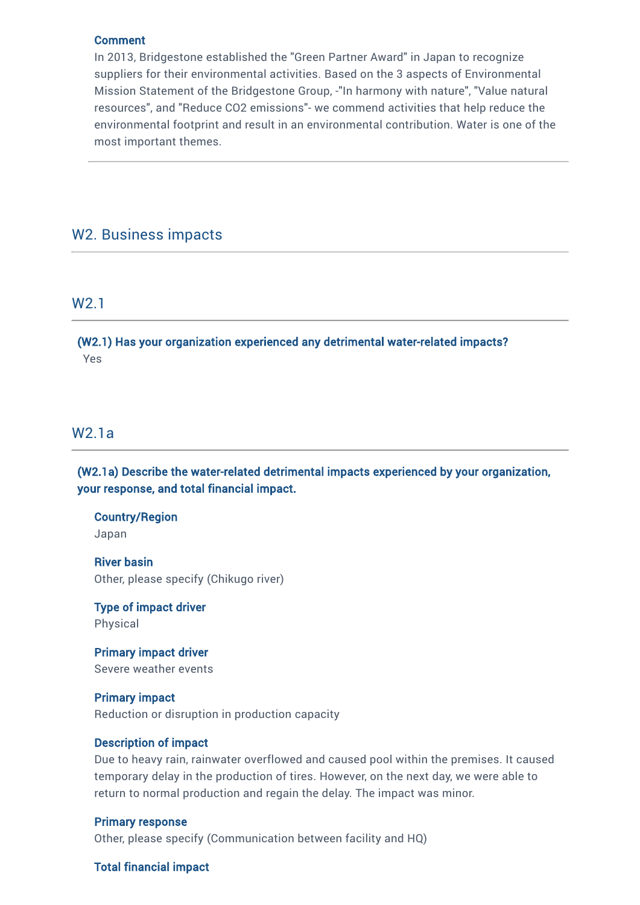#### Comment

In 2013, Bridgestone established the "Green Partner Award" in Japan to recognize suppliers for their environmental activities. Based on the 3 aspects of Environmental Mission Statement of the Bridgestone Group, -"In harmony with nature", "Value natural resources", and "Reduce CO2 emissions"- we commend activities that help reduce the environmental footprint and result in an environmental contribution. Water is one of the most important themes.

### W2. Business impacts

### W2.1

(W2.1) Has your organization experienced any detrimental water-related impacts? Yes

### W2.1a

(W2.1a) Describe the water-related detrimental impacts experienced by your organization, your response, and total financial impact.

### Country/Region

Japan

River basin Other, please specify (Chikugo river)

Type of impact driver Physical

Primary impact driver Severe weather events

#### Primary impact

Reduction or disruption in production capacity

#### Description of impact

Due to heavy rain, rainwater overflowed and caused pool within the premises. It caused temporary delay in the production of tires. However, on the next day, we were able to return to normal production and regain the delay. The impact was minor.

#### Primary response

Other, please specify (Communication between facility and HQ)

#### Total financial impact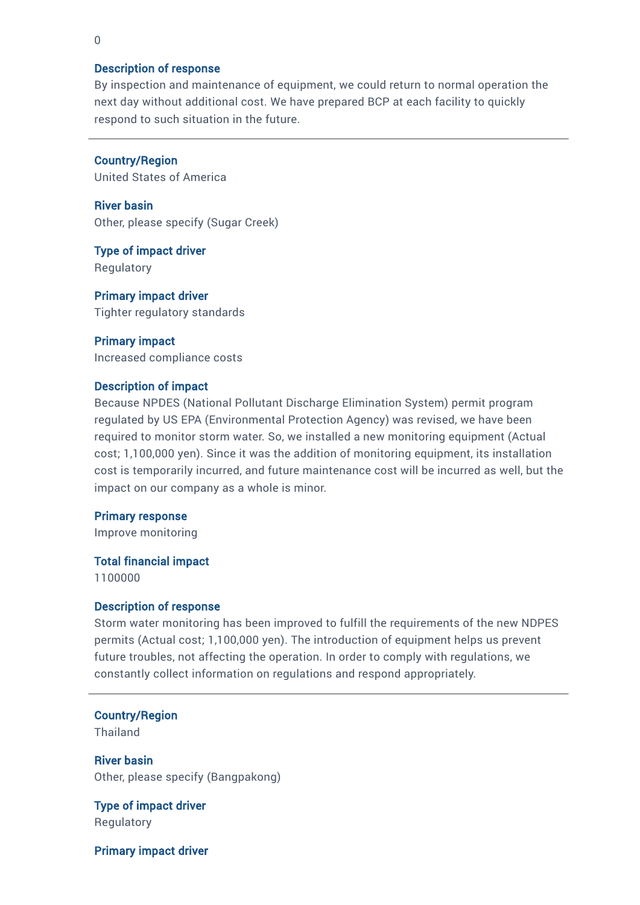#### Description of response

By inspection and maintenance of equipment, we could return to normal operation the next day without additional cost. We have prepared BCP at each facility to quickly respond to such situation in the future.

Country/Region United States of America

River basin Other, please specify (Sugar Creek)

Type of impact driver Regulatory

Primary impact driver Tighter regulatory standards

Primary impact Increased compliance costs

#### Description of impact

Because NPDES (National Pollutant Discharge Elimination System) permit program regulated by US EPA (Environmental Protection Agency) was revised, we have been required to monitor storm water. So, we installed a new monitoring equipment (Actual cost; 1,100,000 yen). Since it was the addition of monitoring equipment, its installation cost is temporarily incurred, and future maintenance cost will be incurred as well, but the impact on our company as a whole is minor.

#### Primary response

Improve monitoring

Total financial impact 1100000

#### Description of response

Storm water monitoring has been improved to fulfill the requirements of the new NDPES permits (Actual cost; 1,100,000 yen). The introduction of equipment helps us prevent future troubles, not affecting the operation. In order to comply with regulations, we constantly collect information on regulations and respond appropriately.

Country/Region Thailand

River basin Other, please specify (Bangpakong)

Type of impact driver Regulatory

Primary impact driver

0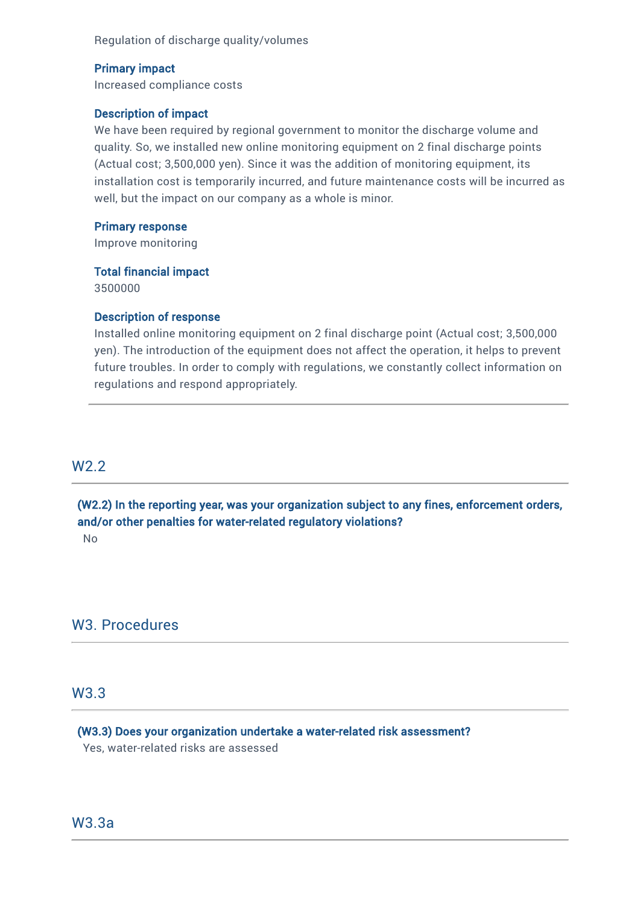Regulation of discharge quality/volumes

### Primary impact

Increased compliance costs

#### Description of impact

We have been required by regional government to monitor the discharge volume and quality. So, we installed new online monitoring equipment on 2 final discharge points (Actual cost; 3,500,000 yen). Since it was the addition of monitoring equipment, its installation cost is temporarily incurred, and future maintenance costs will be incurred as well, but the impact on our company as a whole is minor.

#### Primary response

Improve monitoring

### Total financial impact

3500000

### Description of response

Installed online monitoring equipment on 2 final discharge point (Actual cost; 3,500,000 yen). The introduction of the equipment does not affect the operation, it helps to prevent future troubles. In order to comply with regulations, we constantly collect information on regulations and respond appropriately.

### W2.2

(W2.2) In the reporting year, was your organization subject to any fines, enforcement orders, and/or other penalties for water-related regulatory violations? No

### W3. Procedures

### W3.3

# (W3.3) Does your organization undertake a water-related risk assessment?

Yes, water-related risks are assessed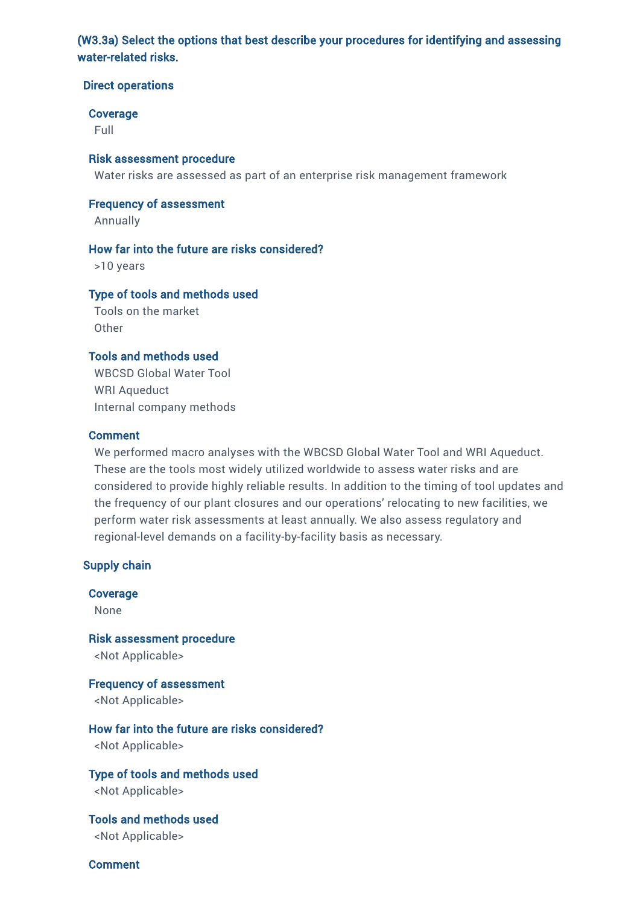### (W3.3a) Select the options that best describe your procedures for identifying and assessing water-related risks.

#### Direct operations

#### Coverage

Full

#### Risk assessment procedure

Water risks are assessed as part of an enterprise risk management framework

### Frequency of assessment

Annually

### How far into the future are risks considered?

>10 years

### Type of tools and methods used

Tools on the market Other

### Tools and methods used

WBCSD Global Water Tool WRI Aqueduct Internal company methods

#### Comment

We performed macro analyses with the WBCSD Global Water Tool and WRI Aqueduct. These are the tools most widely utilized worldwide to assess water risks and are considered to provide highly reliable results. In addition to the timing of tool updates and the frequency of our plant closures and our operations' relocating to new facilities, we perform water risk assessments at least annually. We also assess regulatory and regional-level demands on a facility-by-facility basis as necessary.

### Supply chain

Coverage

None

Risk assessment procedure <Not Applicable>

Frequency of assessment <Not Applicable>

# How far into the future are risks considered?

<Not Applicable>

### Type of tools and methods used

<Not Applicable>

Tools and methods used <Not Applicable>

Comment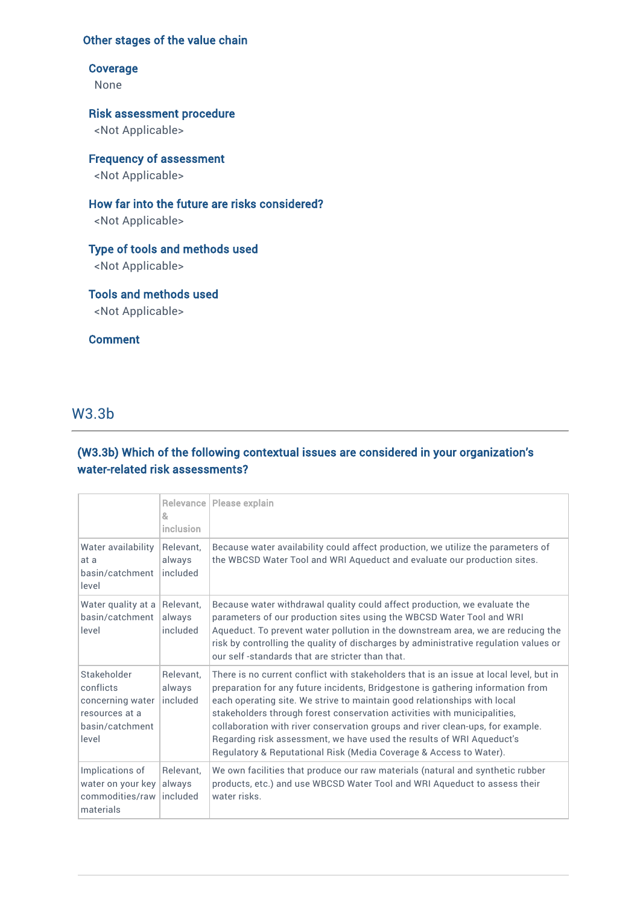### Other stages of the value chain

#### Coverage

None

### Risk assessment procedure

<Not Applicable>

### Frequency of assessment <Not Applicable>

How far into the future are risks considered?

<Not Applicable>

## Type of tools and methods used

<Not Applicable>

Tools and methods used <Not Applicable>

### **Comment**

### W3.3b

### (W3.3b) Which of the following contextual issues are considered in your organization's water-related risk assessments?

|                                                                                            | 8,<br><i>inclusion</i>          | Relevance   Please explain                                                                                                                                                                                                                                                                                                                                                                                                                                                                                                                                         |
|--------------------------------------------------------------------------------------------|---------------------------------|--------------------------------------------------------------------------------------------------------------------------------------------------------------------------------------------------------------------------------------------------------------------------------------------------------------------------------------------------------------------------------------------------------------------------------------------------------------------------------------------------------------------------------------------------------------------|
| Water availability<br>at a<br>basin/catchment<br>level                                     | Relevant.<br>always<br>included | Because water availability could affect production, we utilize the parameters of<br>the WBCSD Water Tool and WRI Aqueduct and evaluate our production sites.                                                                                                                                                                                                                                                                                                                                                                                                       |
| Water quality at a<br>basin/catchment<br>level                                             | Relevant.<br>always<br>included | Because water withdrawal quality could affect production, we evaluate the<br>parameters of our production sites using the WBCSD Water Tool and WRI<br>Aqueduct. To prevent water pollution in the downstream area, we are reducing the<br>risk by controlling the quality of discharges by administrative regulation values or<br>our self-standards that are stricter than that.                                                                                                                                                                                  |
| Stakeholder<br>conflicts<br>concerning water<br>resources at a<br>basin/catchment<br>level | Relevant.<br>always<br>included | There is no current conflict with stakeholders that is an issue at local level, but in<br>preparation for any future incidents, Bridgestone is gathering information from<br>each operating site. We strive to maintain good relationships with local<br>stakeholders through forest conservation activities with municipalities,<br>collaboration with river conservation groups and river clean-ups, for example.<br>Regarding risk assessment, we have used the results of WRI Aqueduct's<br>Regulatory & Reputational Risk (Media Coverage & Access to Water). |
| Implications of<br>water on your key<br>commodities/raw<br>materials                       | Relevant.<br>always<br>included | We own facilities that produce our raw materials (natural and synthetic rubber<br>products, etc.) and use WBCSD Water Tool and WRI Aqueduct to assess their<br>water risks                                                                                                                                                                                                                                                                                                                                                                                         |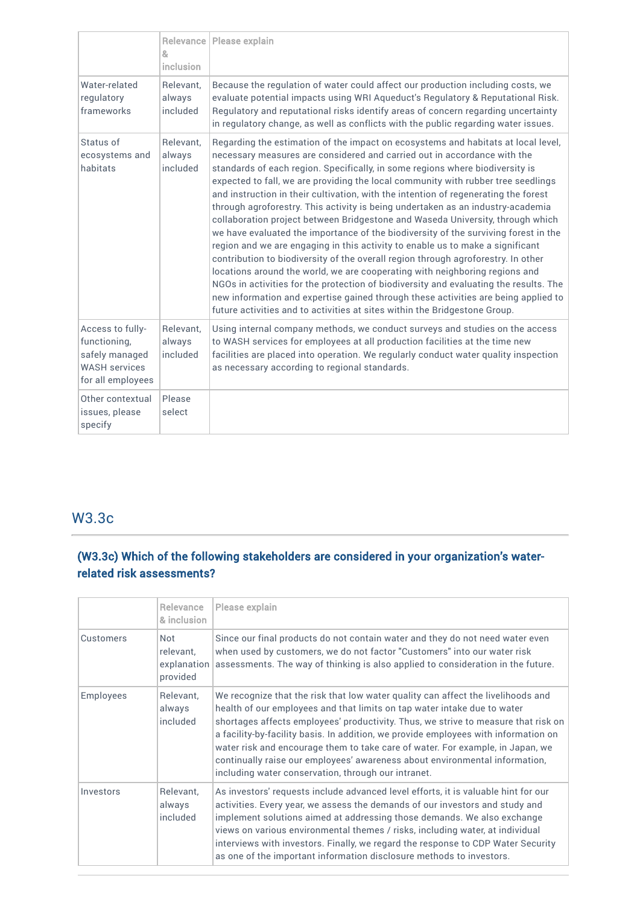|                                                                                                 | 8<br>inclusion                  | Relevance   Please explain                                                                                                                                                                                                                                                                                                                                                                                                                                                                                                                                                                                                                                                                                                                                                                                                                                                                                                                                                                                                                                                                                                                                                                                |
|-------------------------------------------------------------------------------------------------|---------------------------------|-----------------------------------------------------------------------------------------------------------------------------------------------------------------------------------------------------------------------------------------------------------------------------------------------------------------------------------------------------------------------------------------------------------------------------------------------------------------------------------------------------------------------------------------------------------------------------------------------------------------------------------------------------------------------------------------------------------------------------------------------------------------------------------------------------------------------------------------------------------------------------------------------------------------------------------------------------------------------------------------------------------------------------------------------------------------------------------------------------------------------------------------------------------------------------------------------------------|
| Water-related<br>regulatory<br>frameworks                                                       | Relevant.<br>always<br>included | Because the regulation of water could affect our production including costs, we<br>evaluate potential impacts using WRI Aqueduct's Regulatory & Reputational Risk.<br>Regulatory and reputational risks identify areas of concern regarding uncertainty<br>in regulatory change, as well as conflicts with the public regarding water issues.                                                                                                                                                                                                                                                                                                                                                                                                                                                                                                                                                                                                                                                                                                                                                                                                                                                             |
| Status of<br>ecosystems and<br>habitats                                                         | Relevant.<br>always<br>included | Regarding the estimation of the impact on ecosystems and habitats at local level,<br>necessary measures are considered and carried out in accordance with the<br>standards of each region. Specifically, in some regions where biodiversity is<br>expected to fall, we are providing the local community with rubber tree seedlings<br>and instruction in their cultivation, with the intention of regenerating the forest<br>through agroforestry. This activity is being undertaken as an industry-academia<br>collaboration project between Bridgestone and Waseda University, through which<br>we have evaluated the importance of the biodiversity of the surviving forest in the<br>region and we are engaging in this activity to enable us to make a significant<br>contribution to biodiversity of the overall region through agroforestry. In other<br>locations around the world, we are cooperating with neighboring regions and<br>NGOs in activities for the protection of biodiversity and evaluating the results. The<br>new information and expertise gained through these activities are being applied to<br>future activities and to activities at sites within the Bridgestone Group. |
| Access to fully-<br>functioning,<br>safely managed<br><b>WASH services</b><br>for all employees | Relevant.<br>always<br>included | Using internal company methods, we conduct surveys and studies on the access<br>to WASH services for employees at all production facilities at the time new<br>facilities are placed into operation. We regularly conduct water quality inspection<br>as necessary according to regional standards.                                                                                                                                                                                                                                                                                                                                                                                                                                                                                                                                                                                                                                                                                                                                                                                                                                                                                                       |
| Other contextual<br>issues, please<br>specify                                                   | Please<br>select                |                                                                                                                                                                                                                                                                                                                                                                                                                                                                                                                                                                                                                                                                                                                                                                                                                                                                                                                                                                                                                                                                                                                                                                                                           |

# W3.3c

# (W3.3c) Which of the following stakeholders are considered in your organization's waterrelated risk assessments?

|                  | <b>Relevance</b><br>& inclusion                    | Please explain                                                                                                                                                                                                                                                                                                                                                                                                                                                                                                                                                    |
|------------------|----------------------------------------------------|-------------------------------------------------------------------------------------------------------------------------------------------------------------------------------------------------------------------------------------------------------------------------------------------------------------------------------------------------------------------------------------------------------------------------------------------------------------------------------------------------------------------------------------------------------------------|
| Customers        | <b>Not</b><br>relevant.<br>explanation<br>provided | Since our final products do not contain water and they do not need water even<br>when used by customers, we do not factor "Customers" into our water risk<br>assessments. The way of thinking is also applied to consideration in the future.                                                                                                                                                                                                                                                                                                                     |
| <b>Employees</b> | Relevant,<br>always<br>included                    | We recognize that the risk that low water quality can affect the livelihoods and<br>health of our employees and that limits on tap water intake due to water<br>shortages affects employees' productivity. Thus, we strive to measure that risk on<br>a facility-by-facility basis. In addition, we provide employees with information on<br>water risk and encourage them to take care of water. For example, in Japan, we<br>continually raise our employees' awareness about environmental information,<br>including water conservation, through our intranet. |
| Investors        | Relevant,<br>always<br>included                    | As investors' requests include advanced level efforts, it is valuable hint for our<br>activities. Every year, we assess the demands of our investors and study and<br>implement solutions aimed at addressing those demands. We also exchange<br>views on various environmental themes / risks, including water, at individual<br>interviews with investors. Finally, we regard the response to CDP Water Security<br>as one of the important information disclosure methods to investors.                                                                        |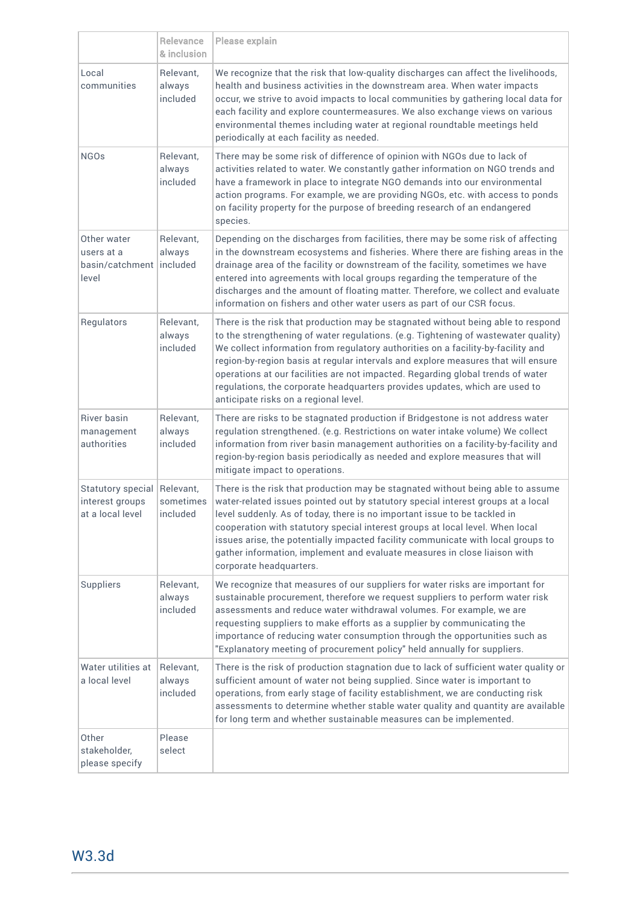|                                                                    | Relevance<br>& inclusion        | Please explain                                                                                                                                                                                                                                                                                                                                                                                                                                                                                                                                             |
|--------------------------------------------------------------------|---------------------------------|------------------------------------------------------------------------------------------------------------------------------------------------------------------------------------------------------------------------------------------------------------------------------------------------------------------------------------------------------------------------------------------------------------------------------------------------------------------------------------------------------------------------------------------------------------|
| Local<br>communities                                               | Relevant,<br>always<br>included | We recognize that the risk that low-quality discharges can affect the livelihoods,<br>health and business activities in the downstream area. When water impacts<br>occur, we strive to avoid impacts to local communities by gathering local data for<br>each facility and explore countermeasures. We also exchange views on various<br>environmental themes including water at regional roundtable meetings held<br>periodically at each facility as needed.                                                                                             |
| <b>NGOs</b>                                                        | Relevant,<br>always<br>included | There may be some risk of difference of opinion with NGOs due to lack of<br>activities related to water. We constantly gather information on NGO trends and<br>have a framework in place to integrate NGO demands into our environmental<br>action programs. For example, we are providing NGOs, etc. with access to ponds<br>on facility property for the purpose of breeding research of an endangered<br>species.                                                                                                                                       |
| Other water<br>users at a<br>basin/catchment<br>level              | Relevant,<br>always<br>included | Depending on the discharges from facilities, there may be some risk of affecting<br>in the downstream ecosystems and fisheries. Where there are fishing areas in the<br>drainage area of the facility or downstream of the facility, sometimes we have<br>entered into agreements with local groups regarding the temperature of the<br>discharges and the amount of floating matter. Therefore, we collect and evaluate<br>information on fishers and other water users as part of our CSR focus.                                                         |
| Regulators                                                         | Relevant,<br>always<br>included | There is the risk that production may be stagnated without being able to respond<br>to the strengthening of water regulations. (e.g. Tightening of wastewater quality)<br>We collect information from regulatory authorities on a facility-by-facility and<br>region-by-region basis at regular intervals and explore measures that will ensure<br>operations at our facilities are not impacted. Regarding global trends of water<br>regulations, the corporate headquarters provides updates, which are used to<br>anticipate risks on a regional level. |
| River basin<br>management<br>authorities                           | Relevant,<br>always<br>included | There are risks to be stagnated production if Bridgestone is not address water<br>regulation strengthened. (e.g. Restrictions on water intake volume) We collect<br>information from river basin management authorities on a facility-by-facility and<br>region-by-region basis periodically as needed and explore measures that will<br>mitigate impact to operations.                                                                                                                                                                                    |
| Statutory special Relevant,<br>interest groups<br>at a local level | sometimes<br>included           | There is the risk that production may be stagnated without being able to assume<br>water-related issues pointed out by statutory special interest groups at a local<br>level suddenly. As of today, there is no important issue to be tackled in<br>cooperation with statutory special interest groups at local level. When local<br>issues arise, the potentially impacted facility communicate with local groups to<br>gather information, implement and evaluate measures in close liaison with<br>corporate headquarters.                              |
| Suppliers                                                          | Relevant,<br>always<br>included | We recognize that measures of our suppliers for water risks are important for<br>sustainable procurement, therefore we request suppliers to perform water risk<br>assessments and reduce water withdrawal volumes. For example, we are<br>requesting suppliers to make efforts as a supplier by communicating the<br>importance of reducing water consumption through the opportunities such as<br>"Explanatory meeting of procurement policy" held annually for suppliers.                                                                                |
| Water utilities at<br>a local level                                | Relevant,<br>always<br>included | There is the risk of production stagnation due to lack of sufficient water quality or<br>sufficient amount of water not being supplied. Since water is important to<br>operations, from early stage of facility establishment, we are conducting risk<br>assessments to determine whether stable water quality and quantity are available<br>for long term and whether sustainable measures can be implemented.                                                                                                                                            |
| Other<br>stakeholder,<br>please specify                            | Please<br>select                |                                                                                                                                                                                                                                                                                                                                                                                                                                                                                                                                                            |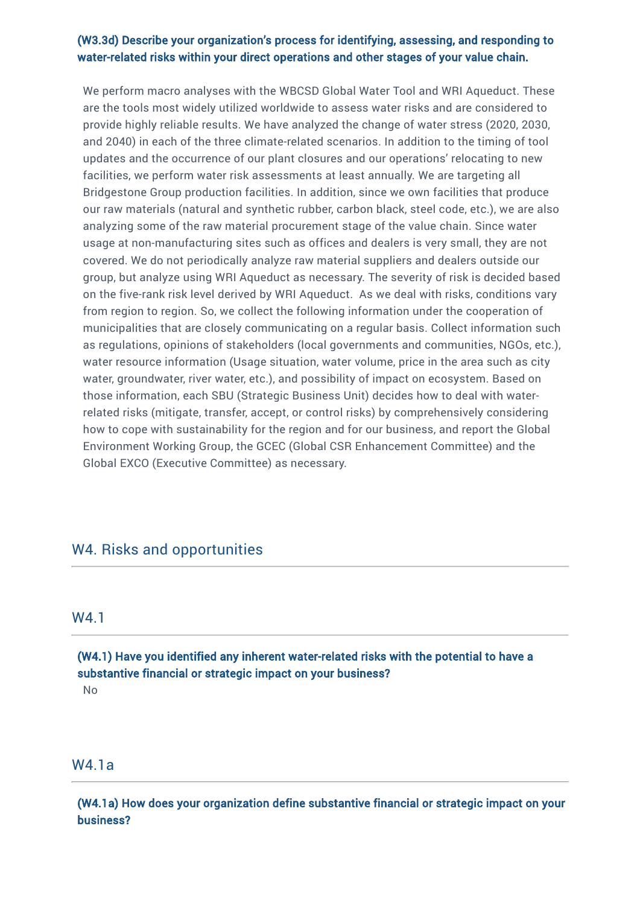### (W3.3d) Describe your organization's process for identifying, assessing, and responding to water-related risks within your direct operations and other stages of your value chain.

We perform macro analyses with the WBCSD Global Water Tool and WRI Aqueduct. These are the tools most widely utilized worldwide to assess water risks and are considered to provide highly reliable results. We have analyzed the change of water stress (2020, 2030, and 2040) in each of the three climate-related scenarios. In addition to the timing of tool updates and the occurrence of our plant closures and our operations' relocating to new facilities, we perform water risk assessments at least annually. We are targeting all Bridgestone Group production facilities. In addition, since we own facilities that produce our raw materials (natural and synthetic rubber, carbon black, steel code, etc.), we are also analyzing some of the raw material procurement stage of the value chain. Since water usage at non-manufacturing sites such as offices and dealers is very small, they are not covered. We do not periodically analyze raw material suppliers and dealers outside our group, but analyze using WRI Aqueduct as necessary. The severity of risk is decided based on the five-rank risk level derived by WRI Aqueduct. As we deal with risks, conditions vary from region to region. So, we collect the following information under the cooperation of municipalities that are closely communicating on a regular basis. Collect information such as regulations, opinions of stakeholders (local governments and communities, NGOs, etc.), water resource information (Usage situation, water volume, price in the area such as city water, groundwater, river water, etc.), and possibility of impact on ecosystem. Based on those information, each SBU (Strategic Business Unit) decides how to deal with waterrelated risks (mitigate, transfer, accept, or control risks) by comprehensively considering how to cope with sustainability for the region and for our business, and report the Global Environment Working Group, the GCEC (Global CSR Enhancement Committee) and the Global EXCO (Executive Committee) as necessary.

### W4. Risks and opportunities

W4.1

(W4.1) Have you identified any inherent water-related risks with the potential to have a substantive financial or strategic impact on your business? No

W4.1a

(W4.1a) How does your organization define substantive financial or strategic impact on your business?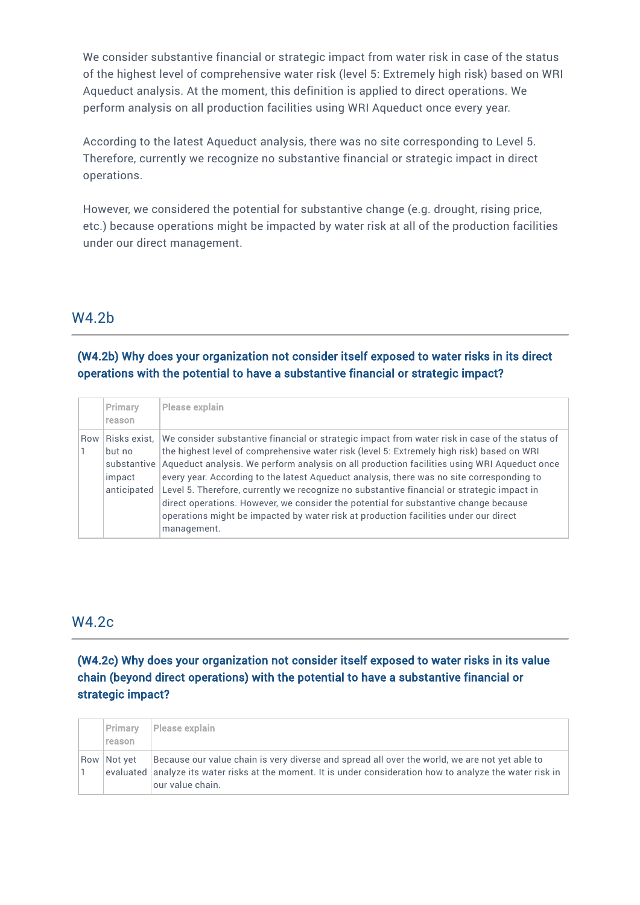We consider substantive financial or strategic impact from water risk in case of the status of the highest level of comprehensive water risk (level 5: Extremely high risk) based on WRI Aqueduct analysis. At the moment, this definition is applied to direct operations. We perform analysis on all production facilities using WRI Aqueduct once every year.

According to the latest Aqueduct analysis, there was no site corresponding to Level 5. Therefore, currently we recognize no substantive financial or strategic impact in direct operations.

However, we considered the potential for substantive change (e.g. drought, rising price, etc.) because operations might be impacted by water risk at all of the production facilities under our direct management.

## W4.2b

### (W4.2b) Why does your organization not consider itself exposed to water risks in its direct operations with the potential to have a substantive financial or strategic impact?

|     | Primary<br>reason                                              | Please explain                                                                                                                                                                                                                                                                                                                                                                                                                                                                                                                                                                                                                                                                       |
|-----|----------------------------------------------------------------|--------------------------------------------------------------------------------------------------------------------------------------------------------------------------------------------------------------------------------------------------------------------------------------------------------------------------------------------------------------------------------------------------------------------------------------------------------------------------------------------------------------------------------------------------------------------------------------------------------------------------------------------------------------------------------------|
| Row | Risks exist,<br>but no<br>substantive<br>impact<br>anticipated | We consider substantive financial or strategic impact from water risk in case of the status of<br>the highest level of comprehensive water risk (level 5: Extremely high risk) based on WRI<br>Aqueduct analysis. We perform analysis on all production facilities using WRI Aqueduct once<br>every year. According to the latest Aqueduct analysis, there was no site corresponding to<br>Level 5. Therefore, currently we recognize no substantive financial or strategic impact in<br>direct operations. However, we consider the potential for substantive change because<br>operations might be impacted by water risk at production facilities under our direct<br>management. |

### W4.2c

(W4.2c) Why does your organization not consider itself exposed to water risks in its value chain (beyond direct operations) with the potential to have a substantive financial or strategic impact?

| Primary<br>reason | Please explain                                                                                                                                                                                                                     |
|-------------------|------------------------------------------------------------------------------------------------------------------------------------------------------------------------------------------------------------------------------------|
| Row Not yet       | Because our value chain is very diverse and spread all over the world, we are not yet able to<br>evaluated   analyze its water risks at the moment. It is under consideration how to analyze the water risk in<br>our value chain. |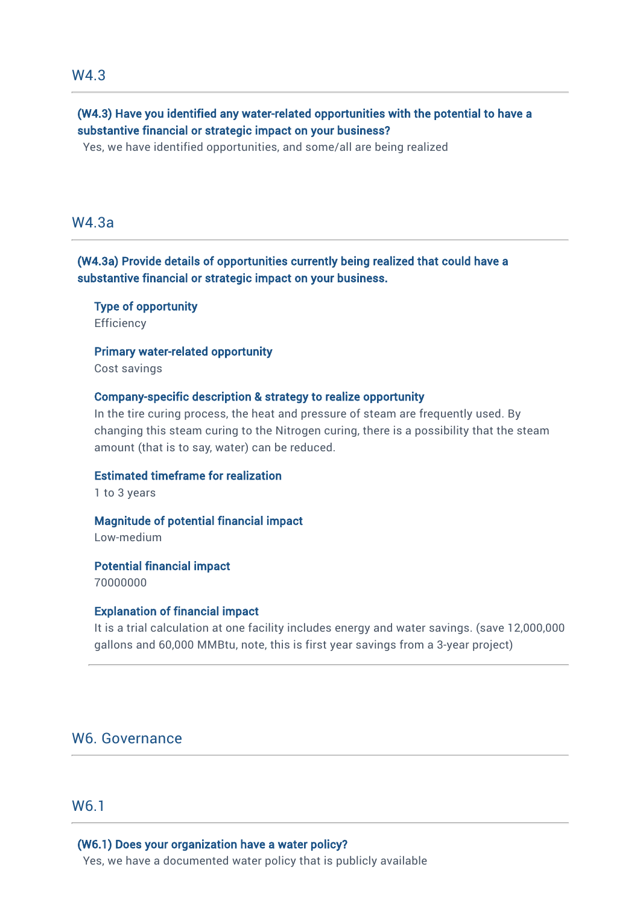### W4.3

### (W4.3) Have you identified any water-related opportunities with the potential to have a substantive financial or strategic impact on your business?

Yes, we have identified opportunities, and some/all are being realized

### W4.3a

### (W4.3a) Provide details of opportunities currently being realized that could have a substantive financial or strategic impact on your business.

Type of opportunity **Efficiency** 

Primary water-related opportunity

Cost savings

### Company-specific description & strategy to realize opportunity

In the tire curing process, the heat and pressure of steam are frequently used. By changing this steam curing to the Nitrogen curing, there is a possibility that the steam amount (that is to say, water) can be reduced.

#### Estimated timeframe for realization

1 to 3 years

Magnitude of potential financial impact

Low-medium

Potential financial impact

70000000

#### Explanation of financial impact

It is a trial calculation at one facility includes energy and water savings. (save 12,000,000 gallons and 60,000 MMBtu, note, this is first year savings from a 3-year project)

### W6. Governance

### W6.1

### (W6.1) Does your organization have a water policy?

Yes, we have a documented water policy that is publicly available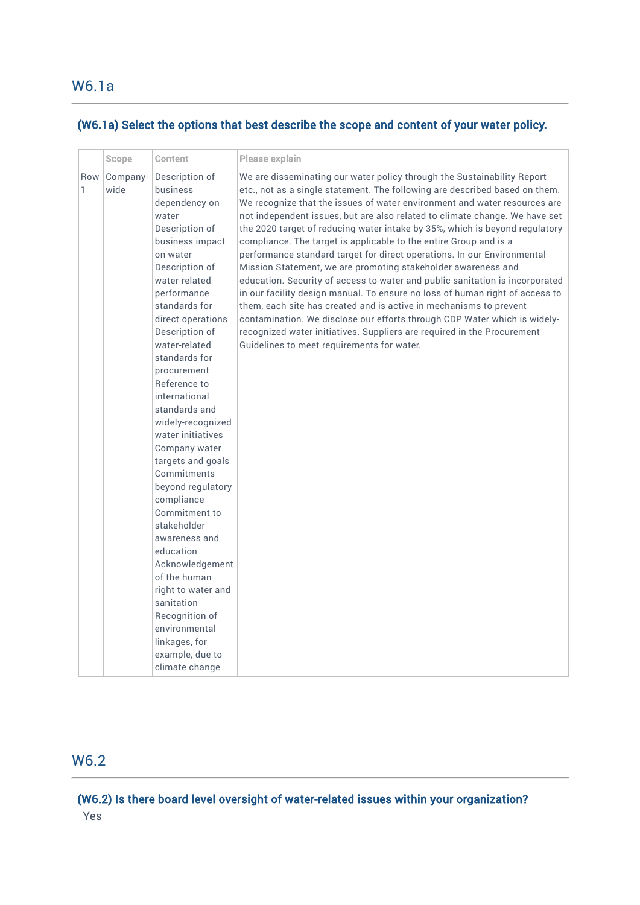# (W6.1a) Select the options that best describe the scope and content of your water policy.

|          | Scope            | Content                                                                                                                                                                                                                                                                                                                                                                                                                                                                                                                                                                                                                                                                            | Please explain                                                                                                                                                                                                                                                                                                                                                                                                                                                                                                                                                                                                                                                                                                                                                                                                                                                                                                                                                                                                                                                 |
|----------|------------------|------------------------------------------------------------------------------------------------------------------------------------------------------------------------------------------------------------------------------------------------------------------------------------------------------------------------------------------------------------------------------------------------------------------------------------------------------------------------------------------------------------------------------------------------------------------------------------------------------------------------------------------------------------------------------------|----------------------------------------------------------------------------------------------------------------------------------------------------------------------------------------------------------------------------------------------------------------------------------------------------------------------------------------------------------------------------------------------------------------------------------------------------------------------------------------------------------------------------------------------------------------------------------------------------------------------------------------------------------------------------------------------------------------------------------------------------------------------------------------------------------------------------------------------------------------------------------------------------------------------------------------------------------------------------------------------------------------------------------------------------------------|
| Row<br>1 | Company-<br>wide | Description of<br>business<br>dependency on<br>water<br>Description of<br>business impact<br>on water<br>Description of<br>water-related<br>performance<br>standards for<br>direct operations<br>Description of<br>water-related<br>standards for<br>procurement<br>Reference to<br>international<br>standards and<br>widely-recognized<br>water initiatives<br>Company water<br>targets and goals<br>Commitments<br>beyond regulatory<br>compliance<br>Commitment to<br>stakeholder<br>awareness and<br>education<br>Acknowledgement<br>of the human<br>right to water and<br>sanitation<br>Recognition of<br>environmental<br>linkages, for<br>example, due to<br>climate change | We are disseminating our water policy through the Sustainability Report<br>etc., not as a single statement. The following are described based on them.<br>We recognize that the issues of water environment and water resources are<br>not independent issues, but are also related to climate change. We have set<br>the 2020 target of reducing water intake by 35%, which is beyond regulatory<br>compliance. The target is applicable to the entire Group and is a<br>performance standard target for direct operations. In our Environmental<br>Mission Statement, we are promoting stakeholder awareness and<br>education. Security of access to water and public sanitation is incorporated<br>in our facility design manual. To ensure no loss of human right of access to<br>them, each site has created and is active in mechanisms to prevent<br>contamination. We disclose our efforts through CDP Water which is widely-<br>recognized water initiatives. Suppliers are required in the Procurement<br>Guidelines to meet requirements for water. |

# W6.2

(W6.2) Is there board level oversight of water-related issues within your organization? Yes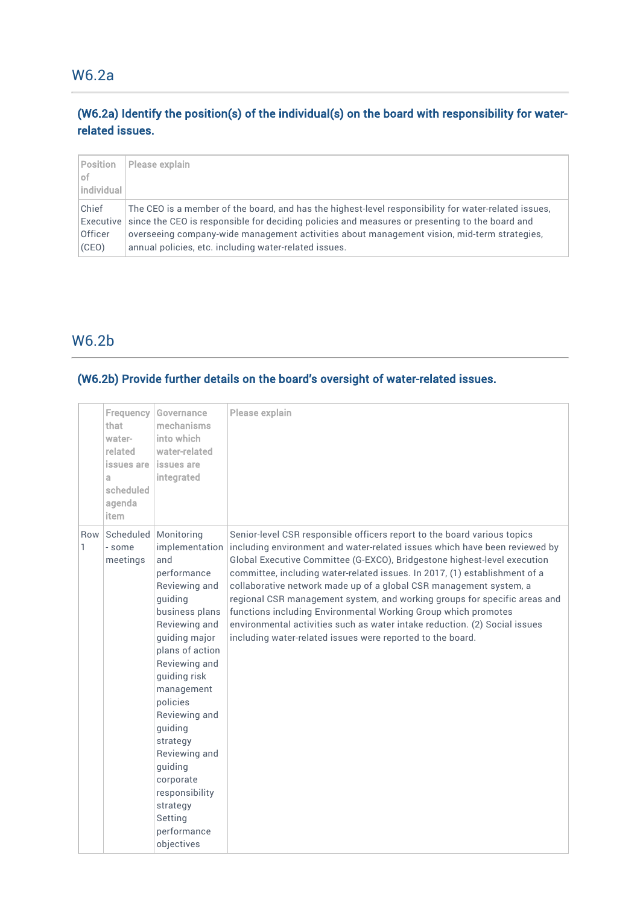# W6.2a

### (W6.2a) Identify the position(s) of the individual(s) on the board with responsibility for waterrelated issues.

| <b>Position</b> | Please explain                                                                                           |
|-----------------|----------------------------------------------------------------------------------------------------------|
| of              |                                                                                                          |
| individual      |                                                                                                          |
| Chief           | The CEO is a member of the board, and has the highest-level responsibility for water-related issues,     |
|                 | Executive since the CEO is responsible for deciding policies and measures or presenting to the board and |
| Officer         | overseeing company-wide management activities about management vision, mid-term strategies,              |
| (CEO)           | annual policies, etc. including water-related issues.                                                    |

# W6.2b

# (W6.2b) Provide further details on the board's oversight of water-related issues.

|           | Frequency<br>that<br>water-<br>related<br>issues are<br>a.<br>scheduled<br>agenda<br>item | Governance<br>mechanisms<br>into which<br>water-related<br>lissues are<br>integrated                                                                                                                                                                                                                                                                              | Please explain                                                                                                                                                                                                                                                                                                                                                                                                                                                                                                                                                                                                                                                                                   |
|-----------|-------------------------------------------------------------------------------------------|-------------------------------------------------------------------------------------------------------------------------------------------------------------------------------------------------------------------------------------------------------------------------------------------------------------------------------------------------------------------|--------------------------------------------------------------------------------------------------------------------------------------------------------------------------------------------------------------------------------------------------------------------------------------------------------------------------------------------------------------------------------------------------------------------------------------------------------------------------------------------------------------------------------------------------------------------------------------------------------------------------------------------------------------------------------------------------|
| Row<br>1. | - some<br>meetings                                                                        | Scheduled   Monitoring<br>and<br>performance<br>Reviewing and<br>guiding<br>business plans<br>Reviewing and<br>guiding major<br>plans of action<br>Reviewing and<br>guiding risk<br>management<br>policies<br>Reviewing and<br>guiding<br>strategy<br>Reviewing and<br>guiding<br>corporate<br>responsibility<br>strategy<br>Setting<br>performance<br>objectives | Senior-level CSR responsible officers report to the board various topics<br>implementation including environment and water-related issues which have been reviewed by<br>Global Executive Committee (G-EXCO), Bridgestone highest-level execution<br>committee, including water-related issues. In 2017, (1) establishment of a<br>collaborative network made up of a global CSR management system, a<br>regional CSR management system, and working groups for specific areas and<br>functions including Environmental Working Group which promotes<br>environmental activities such as water intake reduction. (2) Social issues<br>including water-related issues were reported to the board. |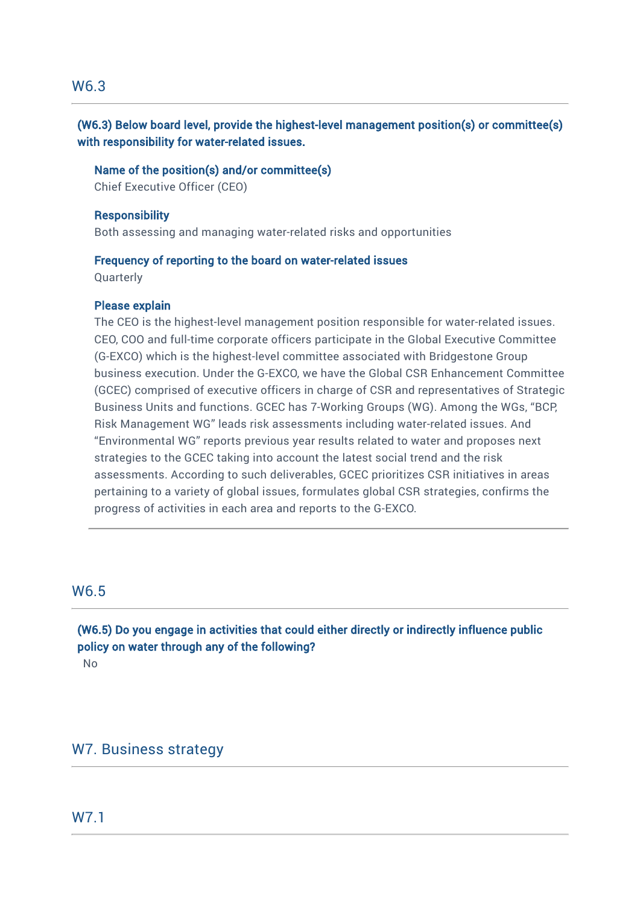### W6.3

### (W6.3) Below board level, provide the highest-level management position(s) or committee(s) with responsibility for water-related issues.

### Name of the position(s) and/or committee(s)

Chief Executive Officer (CEO)

### **Responsibility**

Both assessing and managing water-related risks and opportunities

### Frequency of reporting to the board on water-related issues

Quarterly

### Please explain

The CEO is the highest-level management position responsible for water-related issues. CEO, COO and full-time corporate officers participate in the Global Executive Committee (G-EXCO) which is the highest-level committee associated with Bridgestone Group business execution. Under the G-EXCO, we have the Global CSR Enhancement Committee (GCEC) comprised of executive officers in charge of CSR and representatives of Strategic Business Units and functions. GCEC has 7-Working Groups (WG). Among the WGs, "BCP, Risk Management WG" leads risk assessments including water-related issues. And "Environmental WG" reports previous year results related to water and proposes next strategies to the GCEC taking into account the latest social trend and the risk assessments. According to such deliverables, GCEC prioritizes CSR initiatives in areas pertaining to a variety of global issues, formulates global CSR strategies, confirms the progress of activities in each area and reports to the G-EXCO.

### W6.5

(W6.5) Do you engage in activities that could either directly or indirectly influence public policy on water through any of the following? No

### W7. Business strategy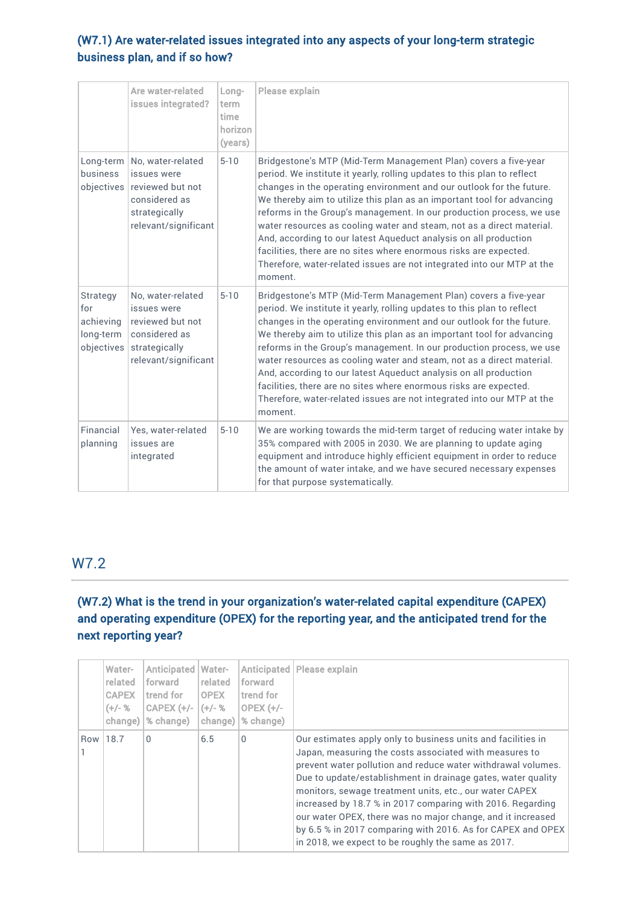### (W7.1) Are water-related issues integrated into any aspects of your long-term strategic business plan, and if so how?

|                                                         | Are water-related<br>issues integrated?                                                                                               | Long-<br>term<br>time<br>horizon<br>(years) | Please explain                                                                                                                                                                                                                                                                                                                                                                                                                                                                                                                                                                                                                                                              |  |  |
|---------------------------------------------------------|---------------------------------------------------------------------------------------------------------------------------------------|---------------------------------------------|-----------------------------------------------------------------------------------------------------------------------------------------------------------------------------------------------------------------------------------------------------------------------------------------------------------------------------------------------------------------------------------------------------------------------------------------------------------------------------------------------------------------------------------------------------------------------------------------------------------------------------------------------------------------------------|--|--|
| business                                                | Long-term   No, water-related<br>issues were<br>objectives reviewed but not<br>considered as<br>strategically<br>relevant/significant | $5 - 10$                                    | Bridgestone's MTP (Mid-Term Management Plan) covers a five-year<br>period. We institute it yearly, rolling updates to this plan to reflect<br>changes in the operating environment and our outlook for the future.<br>We thereby aim to utilize this plan as an important tool for advancing<br>reforms in the Group's management. In our production process, we use<br>water resources as cooling water and steam, not as a direct material.<br>And, according to our latest Aqueduct analysis on all production<br>facilities, there are no sites where enormous risks are expected.<br>Therefore, water-related issues are not integrated into our MTP at the<br>moment. |  |  |
| Strategy<br>for<br>achieving<br>long-term<br>objectives | No, water-related<br>issues were<br>reviewed but not<br>considered as<br>strategically<br>relevant/significant                        | $5 - 10$                                    | Bridgestone's MTP (Mid-Term Management Plan) covers a five-year<br>period. We institute it yearly, rolling updates to this plan to reflect<br>changes in the operating environment and our outlook for the future.<br>We thereby aim to utilize this plan as an important tool for advancing<br>reforms in the Group's management. In our production process, we use<br>water resources as cooling water and steam, not as a direct material.<br>And, according to our latest Aqueduct analysis on all production<br>facilities, there are no sites where enormous risks are expected.<br>Therefore, water-related issues are not integrated into our MTP at the<br>moment. |  |  |
| Financial<br>planning                                   | Yes, water-related<br>issues are<br>integrated                                                                                        | $5 - 10$                                    | We are working towards the mid-term target of reducing water intake by<br>35% compared with 2005 in 2030. We are planning to update aging<br>equipment and introduce highly efficient equipment in order to reduce<br>the amount of water intake, and we have secured necessary expenses<br>for that purpose systematically.                                                                                                                                                                                                                                                                                                                                                |  |  |

# W7.2

# (W7.2) What is the trend in your organization's water-related capital expenditure (CAPEX) and operating expenditure (OPEX) for the reporting year, and the anticipated trend for the next reporting year?

|     | Water-<br>related<br><b>CAPEX</b><br>$(+/- %$<br>change) | Anticipated<br>forward<br>trend for<br>CAPEX $(+/-$<br>% change) | Water-<br>related<br><b>OPEX</b><br>$(+/- %$<br>change) | forward<br>trend for<br>OPEX $(+/-)$<br>% change) | Anticipated   Please explain                                                                                                                                                                                                                                                                                                                                                                                                                                                                                                                                        |
|-----|----------------------------------------------------------|------------------------------------------------------------------|---------------------------------------------------------|---------------------------------------------------|---------------------------------------------------------------------------------------------------------------------------------------------------------------------------------------------------------------------------------------------------------------------------------------------------------------------------------------------------------------------------------------------------------------------------------------------------------------------------------------------------------------------------------------------------------------------|
| Row | 18.7                                                     | 0                                                                | 6.5                                                     | 0                                                 | Our estimates apply only to business units and facilities in<br>Japan, measuring the costs associated with measures to<br>prevent water pollution and reduce water withdrawal volumes.<br>Due to update/establishment in drainage gates, water quality<br>monitors, sewage treatment units, etc., our water CAPEX<br>increased by 18.7 % in 2017 comparing with 2016. Regarding<br>our water OPEX, there was no major change, and it increased<br>by 6.5 % in 2017 comparing with 2016. As for CAPEX and OPEX<br>in 2018, we expect to be roughly the same as 2017. |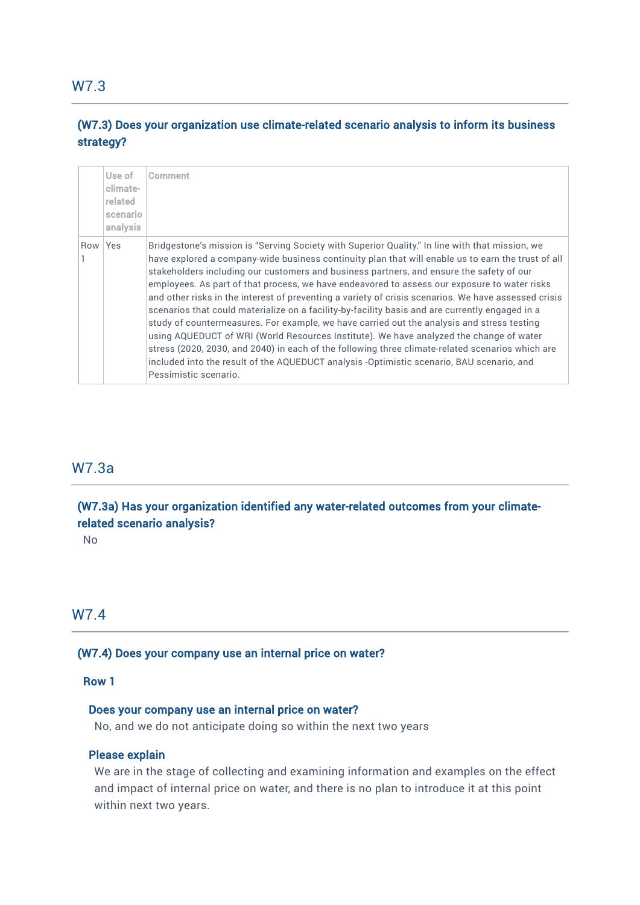W7.3

### (W7.3) Does your organization use climate-related scenario analysis to inform its business strategy?

|         | Use of<br>climate-<br>related<br>scenario<br>analysis | Comment                                                                                                                                                                                                                                                                                                                                                                                                                                                                                                                                                                                                                                                                                                                                                                                                                                                                                                                                                                                                                         |
|---------|-------------------------------------------------------|---------------------------------------------------------------------------------------------------------------------------------------------------------------------------------------------------------------------------------------------------------------------------------------------------------------------------------------------------------------------------------------------------------------------------------------------------------------------------------------------------------------------------------------------------------------------------------------------------------------------------------------------------------------------------------------------------------------------------------------------------------------------------------------------------------------------------------------------------------------------------------------------------------------------------------------------------------------------------------------------------------------------------------|
| Row Yes |                                                       | Bridgestone's mission is "Serving Society with Superior Quality." In line with that mission, we<br>have explored a company-wide business continuity plan that will enable us to earn the trust of all<br>stakeholders including our customers and business partners, and ensure the safety of our<br>employees. As part of that process, we have endeavored to assess our exposure to water risks<br>and other risks in the interest of preventing a variety of crisis scenarios. We have assessed crisis<br>scenarios that could materialize on a facility-by-facility basis and are currently engaged in a<br>study of countermeasures. For example, we have carried out the analysis and stress testing<br>using AQUEDUCT of WRI (World Resources Institute). We have analyzed the change of water<br>stress (2020, 2030, and 2040) in each of the following three climate-related scenarios which are<br>included into the result of the AQUEDUCT analysis -Optimistic scenario, BAU scenario, and<br>Pessimistic scenario. |

# W7.3a

# (W7.3a) Has your organization identified any water-related outcomes from your climaterelated scenario analysis?

No

### W7.4

### (W7.4) Does your company use an internal price on water?

### Row 1

### Does your company use an internal price on water?

No, and we do not anticipate doing so within the next two years

#### Please explain

We are in the stage of collecting and examining information and examples on the effect and impact of internal price on water, and there is no plan to introduce it at this point within next two years.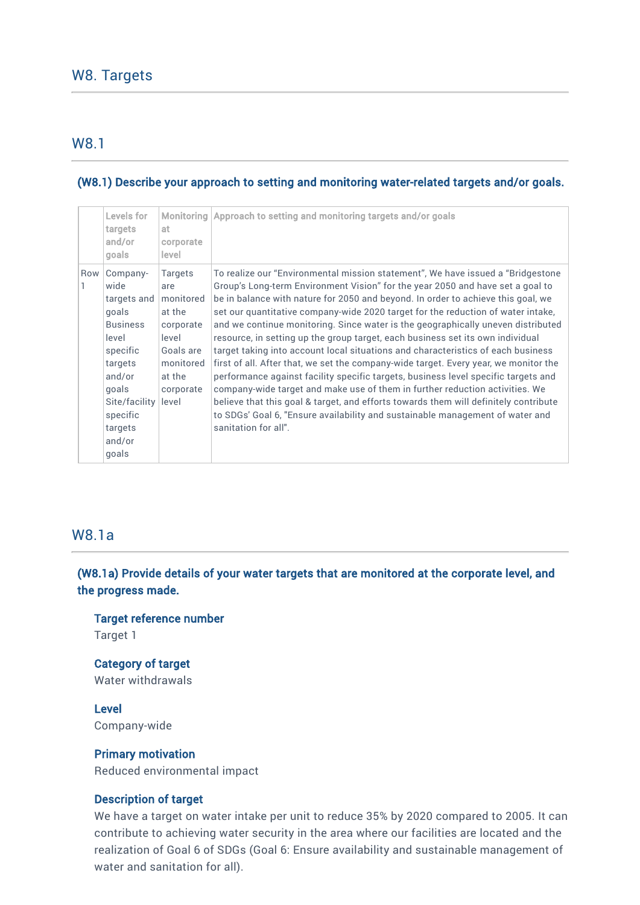### W8.1

#### (W8.1) Describe your approach to setting and monitoring water-related targets and/or goals.

|     | Levels for<br>targets<br>and/or<br>goals                                                                                                                                  | at.<br>corporate<br>level                                                                                                    | Monitoring Approach to setting and monitoring targets and/or goals                                                                                                                                                                                                                                                                                                                                                                                                                                                                                                                                                                                                                                                                                                                                                                                                                                                                                                                                                                                                 |
|-----|---------------------------------------------------------------------------------------------------------------------------------------------------------------------------|------------------------------------------------------------------------------------------------------------------------------|--------------------------------------------------------------------------------------------------------------------------------------------------------------------------------------------------------------------------------------------------------------------------------------------------------------------------------------------------------------------------------------------------------------------------------------------------------------------------------------------------------------------------------------------------------------------------------------------------------------------------------------------------------------------------------------------------------------------------------------------------------------------------------------------------------------------------------------------------------------------------------------------------------------------------------------------------------------------------------------------------------------------------------------------------------------------|
| Row | Company-<br>wide<br>targets and<br>qoals<br><b>Business</b><br>level<br>specific<br>targets<br>and/or<br>qoals<br>Site/facility<br>specific<br>targets<br>and/or<br>goals | <b>Targets</b><br>are<br>monitored<br>at the<br>corporate<br>level<br>Goals are<br>monitored<br>at the<br>corporate<br>level | To realize our "Environmental mission statement", We have issued a "Bridgestone<br>Group's Long-term Environment Vision" for the year 2050 and have set a goal to<br>be in balance with nature for 2050 and beyond. In order to achieve this goal, we<br>set our quantitative company-wide 2020 target for the reduction of water intake,<br>and we continue monitoring. Since water is the geographically uneven distributed<br>resource, in setting up the group target, each business set its own individual<br>target taking into account local situations and characteristics of each business<br>first of all. After that, we set the company-wide target. Every year, we monitor the<br>performance against facility specific targets, business level specific targets and<br>company-wide target and make use of them in further reduction activities. We<br>believe that this goal & target, and efforts towards them will definitely contribute<br>to SDGs' Goal 6, "Ensure availability and sustainable management of water and<br>sanitation for all". |

### W8.1a

(W8.1a) Provide details of your water targets that are monitored at the corporate level, and the progress made.

#### Target reference number

Target 1

### Category of target

Water withdrawals

Level Company-wide

### Primary motivation

Reduced environmental impact

### Description of target

We have a target on water intake per unit to reduce 35% by 2020 compared to 2005. It can contribute to achieving water security in the area where our facilities are located and the realization of Goal 6 of SDGs (Goal 6: Ensure availability and sustainable management of water and sanitation for all).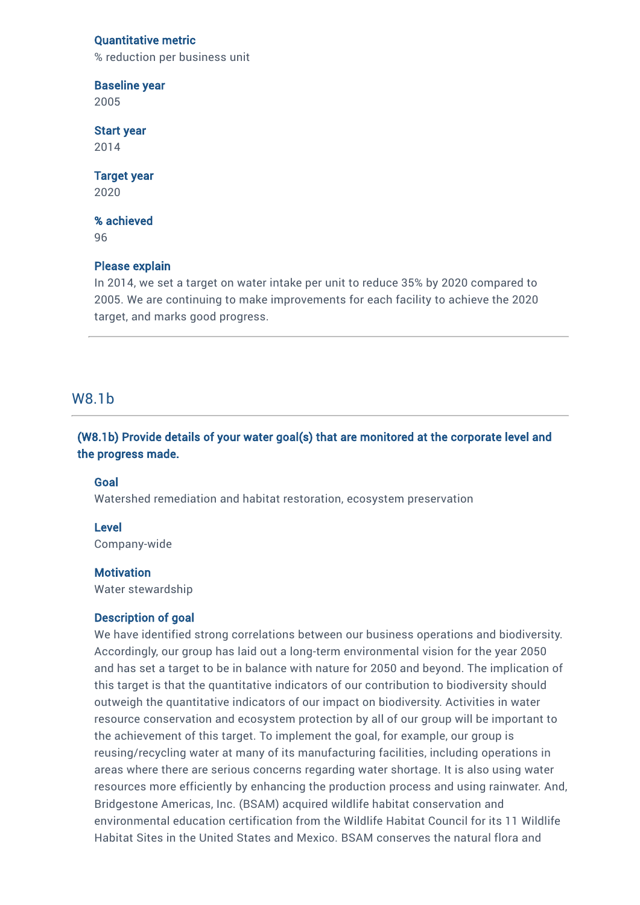#### Quantitative metric

% reduction per business unit

#### Baseline year

2005

#### Start year

2014

### Target year

2020

#### % achieved

96

#### Please explain

In 2014, we set a target on water intake per unit to reduce 35% by 2020 compared to 2005. We are continuing to make improvements for each facility to achieve the 2020 target, and marks good progress.

### W8.1b

### (W8.1b) Provide details of your water goal(s) that are monitored at the corporate level and the progress made.

#### Goal

Watershed remediation and habitat restoration, ecosystem preservation

#### Level

Company-wide

#### **Motivation**

Water stewardship

#### Description of goal

We have identified strong correlations between our business operations and biodiversity. Accordingly, our group has laid out a long-term environmental vision for the year 2050 and has set a target to be in balance with nature for 2050 and beyond. The implication of this target is that the quantitative indicators of our contribution to biodiversity should outweigh the quantitative indicators of our impact on biodiversity. Activities in water resource conservation and ecosystem protection by all of our group will be important to the achievement of this target. To implement the goal, for example, our group is reusing/recycling water at many of its manufacturing facilities, including operations in areas where there are serious concerns regarding water shortage. It is also using water resources more efficiently by enhancing the production process and using rainwater. And, Bridgestone Americas, Inc. (BSAM) acquired wildlife habitat conservation and environmental education certification from the Wildlife Habitat Council for its 11 Wildlife Habitat Sites in the United States and Mexico. BSAM conserves the natural flora and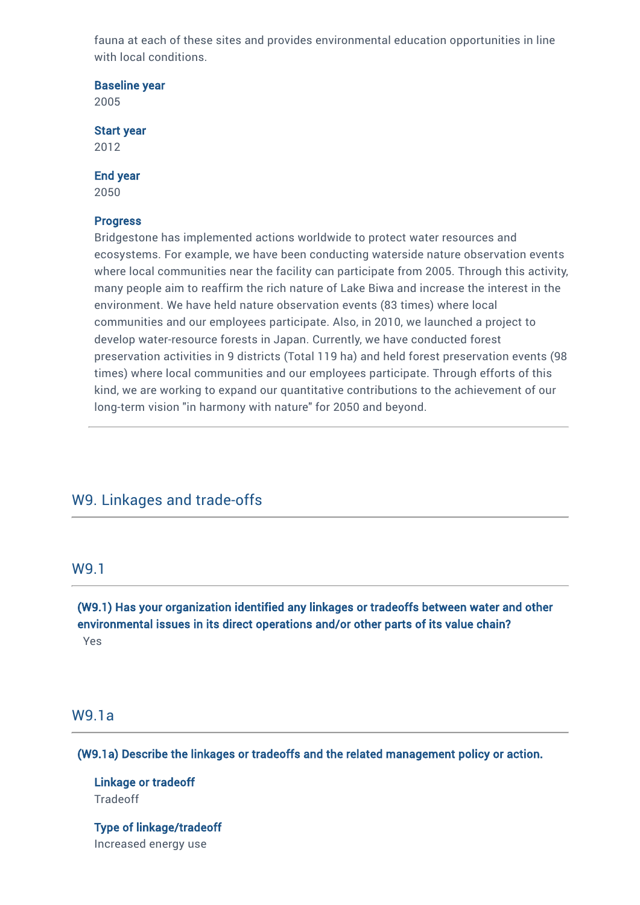fauna at each of these sites and provides environmental education opportunities in line with local conditions.

Baseline year

2005

Start year

2012

End year

2050

#### **Progress**

Bridgestone has implemented actions worldwide to protect water resources and ecosystems. For example, we have been conducting waterside nature observation events where local communities near the facility can participate from 2005. Through this activity, many people aim to reaffirm the rich nature of Lake Biwa and increase the interest in the environment. We have held nature observation events (83 times) where local communities and our employees participate. Also, in 2010, we launched a project to develop water-resource forests in Japan. Currently, we have conducted forest preservation activities in 9 districts (Total 119 ha) and held forest preservation events (98 times) where local communities and our employees participate. Through efforts of this kind, we are working to expand our quantitative contributions to the achievement of our long-term vision "in harmony with nature" for 2050 and beyond.

# W9. Linkages and trade-offs

### W9.1

(W9.1) Has your organization identified any linkages or tradeoffs between water and other environmental issues in its direct operations and/or other parts of its value chain? Yes

### W9.1a

(W9.1a) Describe the linkages or tradeoffs and the related management policy or action.

### Linkage or tradeoff **Tradeoff**

Type of linkage/tradeoff Increased energy use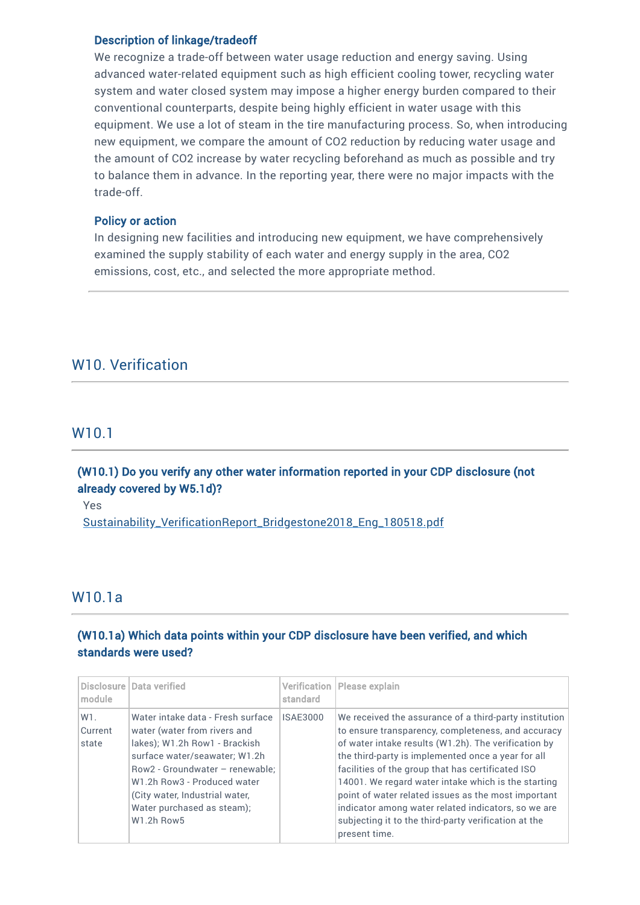#### Description of linkage/tradeoff

We recognize a trade-off between water usage reduction and energy saving. Using advanced water-related equipment such as high efficient cooling tower, recycling water system and water closed system may impose a higher energy burden compared to their conventional counterparts, despite being highly efficient in water usage with this equipment. We use a lot of steam in the tire manufacturing process. So, when introducing new equipment, we compare the amount of CO2 reduction by reducing water usage and the amount of CO2 increase by water recycling beforehand as much as possible and try to balance them in advance. In the reporting year, there were no major impacts with the trade-off.

#### Policy or action

In designing new facilities and introducing new equipment, we have comprehensively examined the supply stability of each water and energy supply in the area, CO2 emissions, cost, etc., and selected the more appropriate method.

# W10. Verification

### W10.1

### (W10.1) Do you verify any other water information reported in your CDP disclosure (not already covered by W5.1d)?

Yes

[Sustainability\\_VerificationReport\\_Bridgestone2018\\_Eng\\_180518.pdf](https://www.cdp.net/en/formatted_responses/files?file_path=k9me76vz7u2sozvqoi2gbw-cdp-credit360-com/FCJeJT4lbUax__bxXM3DZQ/SustainabilityVerificationReportBridgestone2018Eng180518.pdf)

### W10.1a

### (W10.1a) Which data points within your CDP disclosure have been verified, and which standards were used?

| module                     | Disclosure   Data verified                                                                                                                                                                                                                                                          | standard        | <b>Verification   Please explain</b>                                                                                                                                                                                                                                                                                                                                                                                                                                                                                          |
|----------------------------|-------------------------------------------------------------------------------------------------------------------------------------------------------------------------------------------------------------------------------------------------------------------------------------|-----------------|-------------------------------------------------------------------------------------------------------------------------------------------------------------------------------------------------------------------------------------------------------------------------------------------------------------------------------------------------------------------------------------------------------------------------------------------------------------------------------------------------------------------------------|
| $W1$ .<br>Current<br>state | Water intake data - Fresh surface<br>water (water from rivers and<br>lakes); W1.2h Row1 - Brackish<br>surface water/seawater; W1.2h<br>Row2 - Groundwater - renewable:<br>W1.2h Row3 - Produced water<br>(City water, Industrial water,<br>Water purchased as steam);<br>W1.2h Row5 | <b>ISAE3000</b> | We received the assurance of a third-party institution<br>to ensure transparency, completeness, and accuracy<br>of water intake results (W1.2h). The verification by<br>the third-party is implemented once a year for all<br>facilities of the group that has certificated ISO<br>14001. We regard water intake which is the starting<br>point of water related issues as the most important<br>indicator among water related indicators, so we are<br>subjecting it to the third-party verification at the<br>present time. |